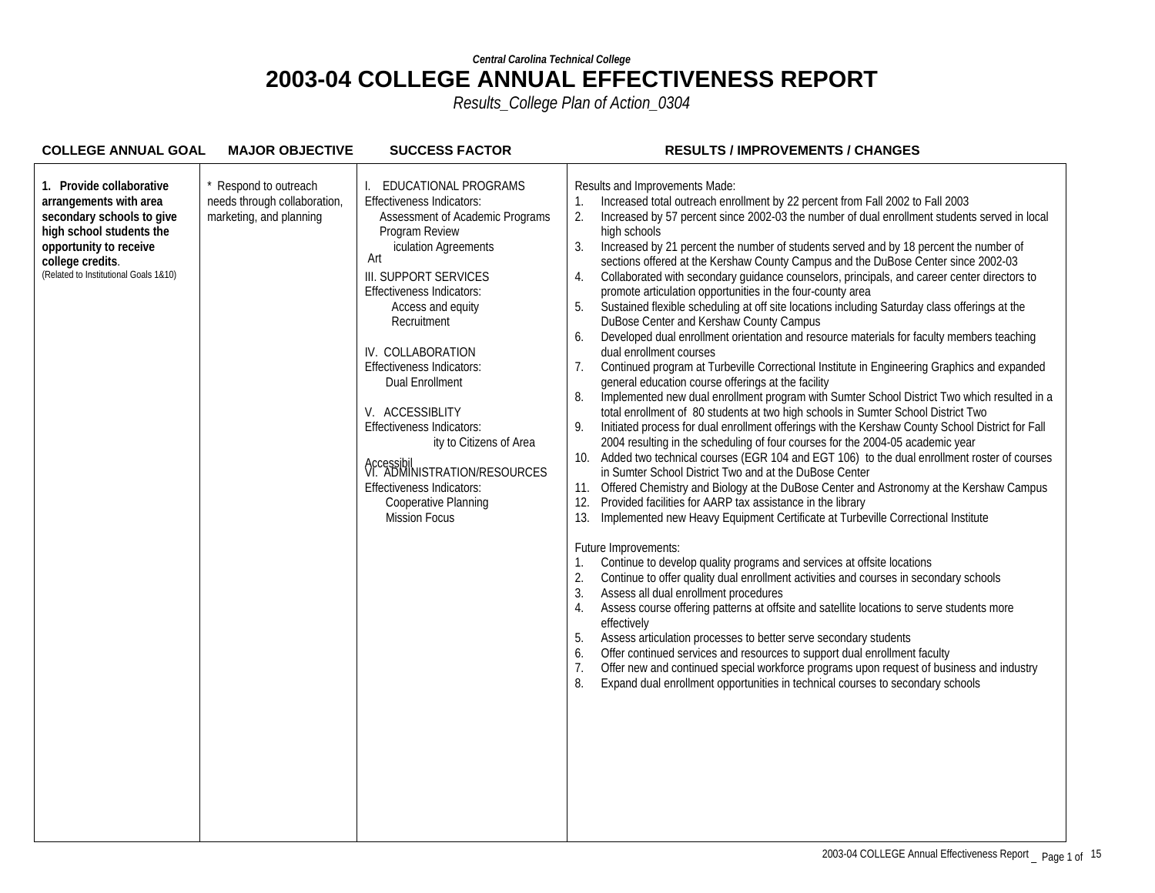| <b>COLLEGE ANNUAL GOAL</b>                                                                                                                                                                         | <b>MAJOR OBJECTIVE</b>                                                         | <b>SUCCESS FACTOR</b>                                                                                                                                                                                                                                                                                                                                                                                                                                                                                                    | <b>RESULTS / IMPROVEMENTS / CHANGES</b>                                                                                                                                                                                                                                                                                                                                                                                                                                                                                                                                                                                                                                                                                                                                                                                                                                                                                                                                                                                                                                                                                                                                                                                                                                                                                                                                                                                                                                                                                                                                                                                                                                                                                                                                                                                                                                                                                                                                                                                                                                                                                                                                                                                                                                                                                                                                                                                                                                                                                                                                                                        |
|----------------------------------------------------------------------------------------------------------------------------------------------------------------------------------------------------|--------------------------------------------------------------------------------|--------------------------------------------------------------------------------------------------------------------------------------------------------------------------------------------------------------------------------------------------------------------------------------------------------------------------------------------------------------------------------------------------------------------------------------------------------------------------------------------------------------------------|----------------------------------------------------------------------------------------------------------------------------------------------------------------------------------------------------------------------------------------------------------------------------------------------------------------------------------------------------------------------------------------------------------------------------------------------------------------------------------------------------------------------------------------------------------------------------------------------------------------------------------------------------------------------------------------------------------------------------------------------------------------------------------------------------------------------------------------------------------------------------------------------------------------------------------------------------------------------------------------------------------------------------------------------------------------------------------------------------------------------------------------------------------------------------------------------------------------------------------------------------------------------------------------------------------------------------------------------------------------------------------------------------------------------------------------------------------------------------------------------------------------------------------------------------------------------------------------------------------------------------------------------------------------------------------------------------------------------------------------------------------------------------------------------------------------------------------------------------------------------------------------------------------------------------------------------------------------------------------------------------------------------------------------------------------------------------------------------------------------------------------------------------------------------------------------------------------------------------------------------------------------------------------------------------------------------------------------------------------------------------------------------------------------------------------------------------------------------------------------------------------------------------------------------------------------------------------------------------------------|
| 1. Provide collaborative<br>arrangements with area<br>secondary schools to give<br>high school students the<br>opportunity to receive<br>college credits.<br>(Related to Institutional Goals 1&10) | Respond to outreach<br>needs through collaboration,<br>marketing, and planning | EDUCATIONAL PROGRAMS<br>Effectiveness Indicators:<br>Assessment of Academic Programs<br>Program Review<br>iculation Agreements<br>Art<br>III. SUPPORT SERVICES<br><b>Effectiveness Indicators:</b><br>Access and equity<br>Recruitment<br>IV. COLLABORATION<br>Effectiveness Indicators:<br><b>Dual Enrollment</b><br>V. ACCESSIBLITY<br>Effectiveness Indicators:<br>ity to Citizens of Area<br>Accessibil<br>VI. ADMINISTRATION/RESOURCES<br>Effectiveness Indicators:<br>Cooperative Planning<br><b>Mission Focus</b> | Results and Improvements Made:<br>Increased total outreach enrollment by 22 percent from Fall 2002 to Fall 2003<br>1.<br>Increased by 57 percent since 2002-03 the number of dual enrollment students served in local<br>2.<br>high schools<br>3.<br>Increased by 21 percent the number of students served and by 18 percent the number of<br>sections offered at the Kershaw County Campus and the DuBose Center since 2002-03<br>Collaborated with secondary guidance counselors, principals, and career center directors to<br>4.<br>promote articulation opportunities in the four-county area<br>5.<br>Sustained flexible scheduling at off site locations including Saturday class offerings at the<br>DuBose Center and Kershaw County Campus<br>Developed dual enrollment orientation and resource materials for faculty members teaching<br>6.<br>dual enrollment courses<br>Continued program at Turbeville Correctional Institute in Engineering Graphics and expanded<br>7 <sub>1</sub><br>general education course offerings at the facility<br>Implemented new dual enrollment program with Sumter School District Two which resulted in a<br>8.<br>total enrollment of 80 students at two high schools in Sumter School District Two<br>Initiated process for dual enrollment offerings with the Kershaw County School District for Fall<br>9.<br>2004 resulting in the scheduling of four courses for the 2004-05 academic year<br>Added two technical courses (EGR 104 and EGT 106) to the dual enrollment roster of courses<br>10.<br>in Sumter School District Two and at the DuBose Center<br>Offered Chemistry and Biology at the DuBose Center and Astronomy at the Kershaw Campus<br>11.<br>Provided facilities for AARP tax assistance in the library<br>12.<br>Implemented new Heavy Equipment Certificate at Turbeville Correctional Institute<br>13.<br>Future Improvements:<br>Continue to develop quality programs and services at offsite locations<br>1.<br>Continue to offer quality dual enrollment activities and courses in secondary schools<br>2.<br>3.<br>Assess all dual enrollment procedures<br>Assess course offering patterns at offsite and satellite locations to serve students more<br>4.<br>effectively<br>5.<br>Assess articulation processes to better serve secondary students<br>Offer continued services and resources to support dual enrollment faculty<br>6.<br>7.<br>Offer new and continued special workforce programs upon request of business and industry<br>Expand dual enrollment opportunities in technical courses to secondary schools<br>8. |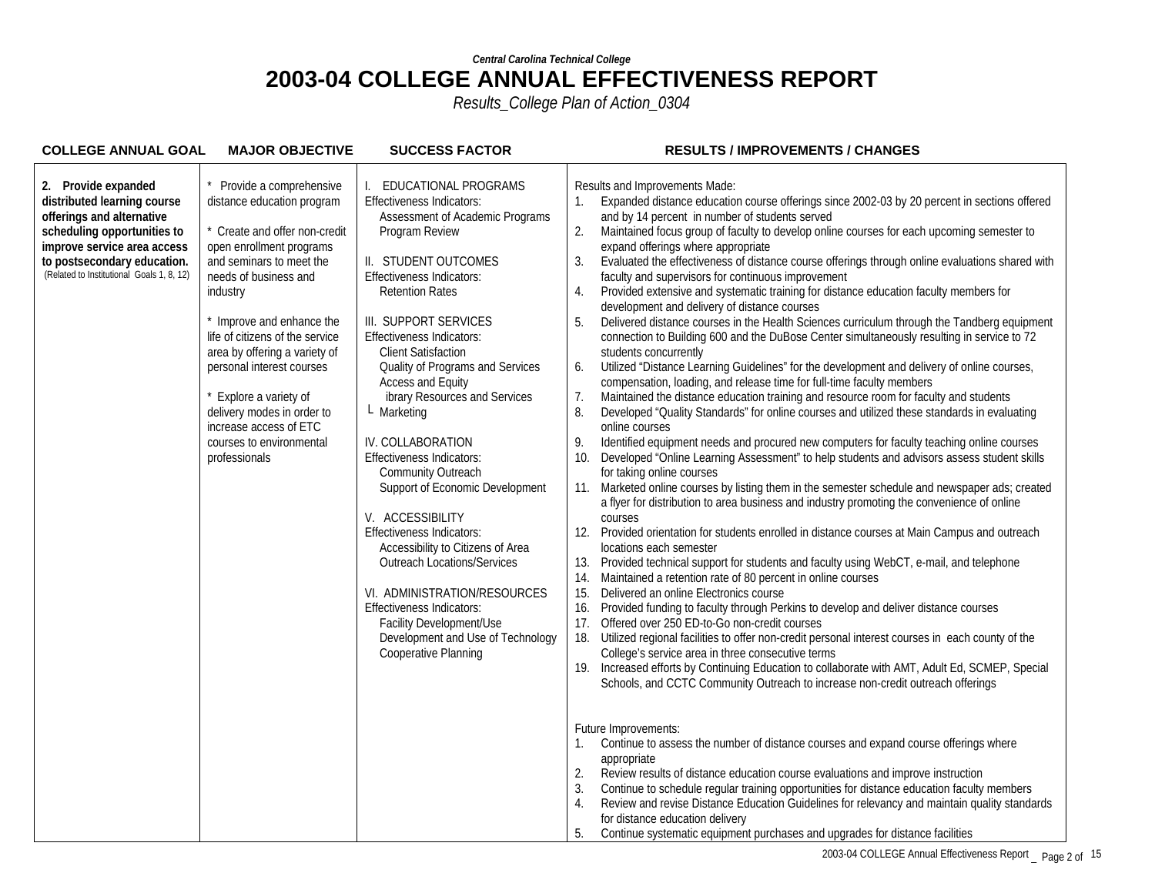| <b>COLLEGE ANNUAL GOAL</b>                                                                                                                                                                                                | <b>MAJOR OBJECTIVE</b>                                                                                                                                                                                                                                                                                                                                                                                                                       | <b>SUCCESS FACTOR</b>                                                                                                                                                                                                                                                                                                                                                                                                                                                                                                                                                                                                                                                                                                                                                                                                     | <b>RESULTS / IMPROVEMENTS / CHANGES</b>                                                                                                                                                                                                                                                                                                                                                                                                                                                                                                                                                                                                                                                                                                                                                                                                                                                                                                                                                                                                                                                                                                                                                                                                                                                                                                                                                                                                                                                                                                                                                                                                                                                                                                                                                                                                                                                                                                                                                                                                                                                                                                                                                                                                                                                                                                                                                                                                                                                                                                                                                          |
|---------------------------------------------------------------------------------------------------------------------------------------------------------------------------------------------------------------------------|----------------------------------------------------------------------------------------------------------------------------------------------------------------------------------------------------------------------------------------------------------------------------------------------------------------------------------------------------------------------------------------------------------------------------------------------|---------------------------------------------------------------------------------------------------------------------------------------------------------------------------------------------------------------------------------------------------------------------------------------------------------------------------------------------------------------------------------------------------------------------------------------------------------------------------------------------------------------------------------------------------------------------------------------------------------------------------------------------------------------------------------------------------------------------------------------------------------------------------------------------------------------------------|--------------------------------------------------------------------------------------------------------------------------------------------------------------------------------------------------------------------------------------------------------------------------------------------------------------------------------------------------------------------------------------------------------------------------------------------------------------------------------------------------------------------------------------------------------------------------------------------------------------------------------------------------------------------------------------------------------------------------------------------------------------------------------------------------------------------------------------------------------------------------------------------------------------------------------------------------------------------------------------------------------------------------------------------------------------------------------------------------------------------------------------------------------------------------------------------------------------------------------------------------------------------------------------------------------------------------------------------------------------------------------------------------------------------------------------------------------------------------------------------------------------------------------------------------------------------------------------------------------------------------------------------------------------------------------------------------------------------------------------------------------------------------------------------------------------------------------------------------------------------------------------------------------------------------------------------------------------------------------------------------------------------------------------------------------------------------------------------------------------------------------------------------------------------------------------------------------------------------------------------------------------------------------------------------------------------------------------------------------------------------------------------------------------------------------------------------------------------------------------------------------------------------------------------------------------------------------------------------|
| 2. Provide expanded<br>distributed learning course<br>offerings and alternative<br>scheduling opportunities to<br>improve service area access<br>to postsecondary education.<br>(Related to Institutional Goals 1, 8, 12) | Provide a comprehensive<br>distance education program<br>* Create and offer non-credit<br>open enrollment programs<br>and seminars to meet the<br>needs of business and<br>industry<br>Improve and enhance the<br>life of citizens of the service<br>area by offering a variety of<br>personal interest courses<br>Explore a variety of<br>delivery modes in order to<br>increase access of ETC<br>courses to environmental<br>professionals | EDUCATIONAL PROGRAMS<br><b>Effectiveness Indicators:</b><br>Assessment of Academic Programs<br>Program Review<br>II. STUDENT OUTCOMES<br><b>Effectiveness Indicators:</b><br><b>Retention Rates</b><br>III. SUPPORT SERVICES<br>Effectiveness Indicators:<br><b>Client Satisfaction</b><br>Quality of Programs and Services<br><b>Access and Equity</b><br>ibrary Resources and Services<br>L Marketing<br>IV. COLLABORATION<br><b>Effectiveness Indicators:</b><br>Community Outreach<br>Support of Economic Development<br>V. ACCESSIBILITY<br><b>Effectiveness Indicators:</b><br>Accessibility to Citizens of Area<br><b>Outreach Locations/Services</b><br>VI. ADMINISTRATION/RESOURCES<br><b>Effectiveness Indicators:</b><br>Facility Development/Use<br>Development and Use of Technology<br>Cooperative Planning | Results and Improvements Made:<br>Expanded distance education course offerings since 2002-03 by 20 percent in sections offered<br>1.<br>and by 14 percent in number of students served<br>2.<br>Maintained focus group of faculty to develop online courses for each upcoming semester to<br>expand offerings where appropriate<br>Evaluated the effectiveness of distance course offerings through online evaluations shared with<br>3.<br>faculty and supervisors for continuous improvement<br>Provided extensive and systematic training for distance education faculty members for<br>4.<br>development and delivery of distance courses<br>Delivered distance courses in the Health Sciences curriculum through the Tandberg equipment<br>connection to Building 600 and the DuBose Center simultaneously resulting in service to 72<br>students concurrently<br>6.<br>Utilized "Distance Learning Guidelines" for the development and delivery of online courses,<br>compensation, loading, and release time for full-time faculty members<br>7.<br>Maintained the distance education training and resource room for faculty and students<br>8.<br>Developed "Quality Standards" for online courses and utilized these standards in evaluating<br>online courses<br>9.<br>Identified equipment needs and procured new computers for faculty teaching online courses<br>Developed "Online Learning Assessment" to help students and advisors assess student skills<br>10.<br>for taking online courses<br>Marketed online courses by listing them in the semester schedule and newspaper ads; created<br>11.<br>a flyer for distribution to area business and industry promoting the convenience of online<br>courses<br>Provided orientation for students enrolled in distance courses at Main Campus and outreach<br>12.<br>locations each semester<br>Provided technical support for students and faculty using WebCT, e-mail, and telephone<br>13.<br>Maintained a retention rate of 80 percent in online courses<br>14.<br>15.<br>Delivered an online Electronics course<br>16.<br>Provided funding to faculty through Perkins to develop and deliver distance courses<br>17.<br>Offered over 250 ED-to-Go non-credit courses<br>18.<br>Utilized regional facilities to offer non-credit personal interest courses in each county of the<br>College's service area in three consecutive terms<br>Increased efforts by Continuing Education to collaborate with AMT, Adult Ed, SCMEP, Special<br>19.<br>Schools, and CCTC Community Outreach to increase non-credit outreach offerings |
|                                                                                                                                                                                                                           |                                                                                                                                                                                                                                                                                                                                                                                                                                              |                                                                                                                                                                                                                                                                                                                                                                                                                                                                                                                                                                                                                                                                                                                                                                                                                           | Future Improvements:<br>Continue to assess the number of distance courses and expand course offerings where<br>appropriate<br>2.<br>Review results of distance education course evaluations and improve instruction<br>3.<br>Continue to schedule regular training opportunities for distance education faculty members<br>Review and revise Distance Education Guidelines for relevancy and maintain quality standards<br>4.<br>for distance education delivery<br>Continue systematic equipment purchases and upgrades for distance facilities<br>5.                                                                                                                                                                                                                                                                                                                                                                                                                                                                                                                                                                                                                                                                                                                                                                                                                                                                                                                                                                                                                                                                                                                                                                                                                                                                                                                                                                                                                                                                                                                                                                                                                                                                                                                                                                                                                                                                                                                                                                                                                                           |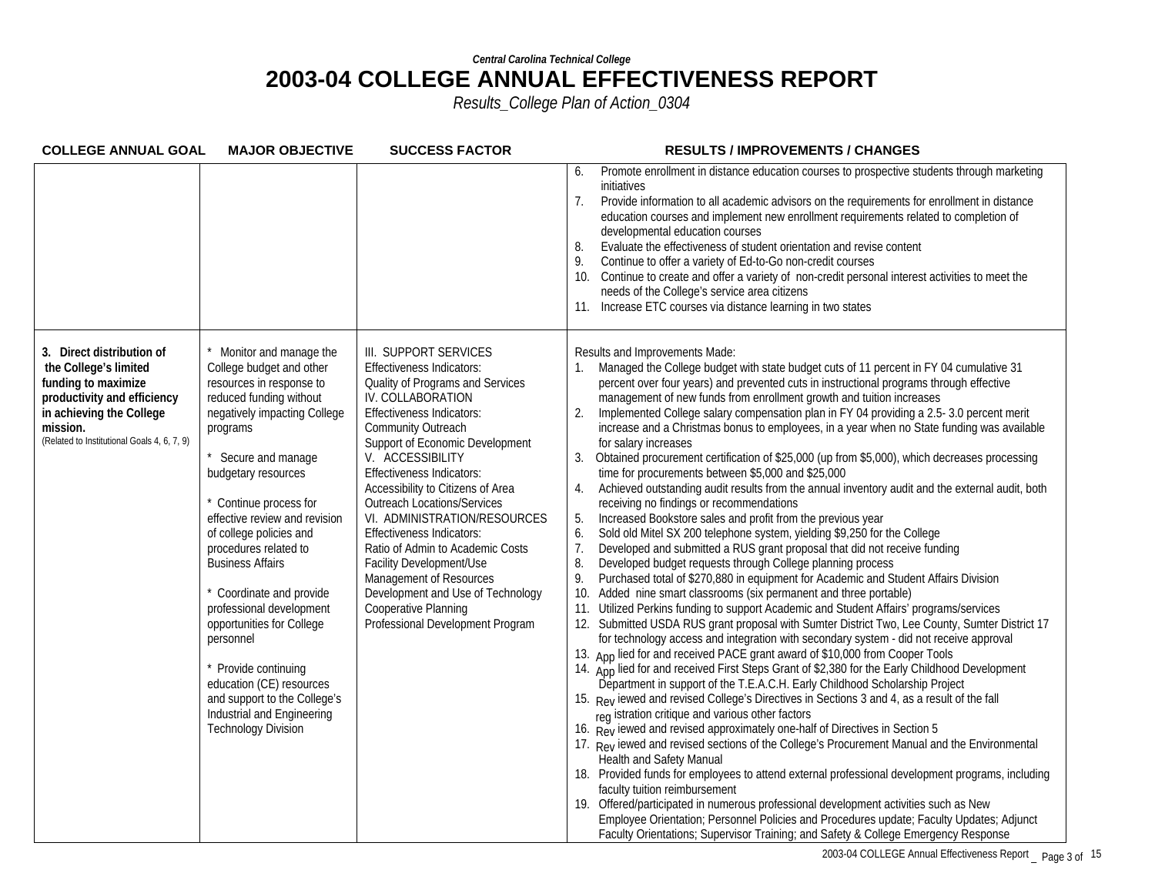| <b>COLLEGE ANNUAL GOAL</b>                                                                                                                                                                      | <b>MAJOR OBJECTIVE</b>                                                                                                                                                                                                                                                                                                                                                                                                                                                                                                                                                                  | <b>SUCCESS FACTOR</b>                                                                                                                                                                                                                                                                                                                                                                                                                                                                                                                                                                         | <b>RESULTS / IMPROVEMENTS / CHANGES</b>                                                                                                                                                                                                                                                                                                                                                                                                                                                                                                                                                                                                                                                                                                                                                                                                                                                                                                                                                                                                                                                                                                                                                                                                                                                                                                                                                                                                                                                                                                                                                                                                                                                                                                                                                                                                                                                                                                                                                                                                                                                                                                                                                                                                                                                                                                                                                                                                                                                                                                                                                                                                                    |
|-------------------------------------------------------------------------------------------------------------------------------------------------------------------------------------------------|-----------------------------------------------------------------------------------------------------------------------------------------------------------------------------------------------------------------------------------------------------------------------------------------------------------------------------------------------------------------------------------------------------------------------------------------------------------------------------------------------------------------------------------------------------------------------------------------|-----------------------------------------------------------------------------------------------------------------------------------------------------------------------------------------------------------------------------------------------------------------------------------------------------------------------------------------------------------------------------------------------------------------------------------------------------------------------------------------------------------------------------------------------------------------------------------------------|------------------------------------------------------------------------------------------------------------------------------------------------------------------------------------------------------------------------------------------------------------------------------------------------------------------------------------------------------------------------------------------------------------------------------------------------------------------------------------------------------------------------------------------------------------------------------------------------------------------------------------------------------------------------------------------------------------------------------------------------------------------------------------------------------------------------------------------------------------------------------------------------------------------------------------------------------------------------------------------------------------------------------------------------------------------------------------------------------------------------------------------------------------------------------------------------------------------------------------------------------------------------------------------------------------------------------------------------------------------------------------------------------------------------------------------------------------------------------------------------------------------------------------------------------------------------------------------------------------------------------------------------------------------------------------------------------------------------------------------------------------------------------------------------------------------------------------------------------------------------------------------------------------------------------------------------------------------------------------------------------------------------------------------------------------------------------------------------------------------------------------------------------------------------------------------------------------------------------------------------------------------------------------------------------------------------------------------------------------------------------------------------------------------------------------------------------------------------------------------------------------------------------------------------------------------------------------------------------------------------------------------------------------|
|                                                                                                                                                                                                 |                                                                                                                                                                                                                                                                                                                                                                                                                                                                                                                                                                                         |                                                                                                                                                                                                                                                                                                                                                                                                                                                                                                                                                                                               | Promote enrollment in distance education courses to prospective students through marketing<br>6.<br>initiatives<br>7 <sub>1</sub><br>Provide information to all academic advisors on the requirements for enrollment in distance<br>education courses and implement new enrollment requirements related to completion of<br>developmental education courses<br>8.<br>Evaluate the effectiveness of student orientation and revise content<br>9.<br>Continue to offer a variety of Ed-to-Go non-credit courses<br>Continue to create and offer a variety of non-credit personal interest activities to meet the<br>10.<br>needs of the College's service area citizens<br>Increase ETC courses via distance learning in two states<br>11.                                                                                                                                                                                                                                                                                                                                                                                                                                                                                                                                                                                                                                                                                                                                                                                                                                                                                                                                                                                                                                                                                                                                                                                                                                                                                                                                                                                                                                                                                                                                                                                                                                                                                                                                                                                                                                                                                                                   |
| 3. Direct distribution of<br>the College's limited<br>funding to maximize<br>productivity and efficiency<br>in achieving the College<br>mission.<br>(Related to Institutional Goals 4, 6, 7, 9) | Monitor and manage the<br>College budget and other<br>resources in response to<br>reduced funding without<br>negatively impacting College<br>programs<br>Secure and manage<br>budgetary resources<br>Continue process for<br>effective review and revision<br>of college policies and<br>procedures related to<br><b>Business Affairs</b><br>Coordinate and provide<br>professional development<br>opportunities for College<br>personnel<br>Provide continuing<br>education (CE) resources<br>and support to the College's<br>Industrial and Engineering<br><b>Technology Division</b> | III. SUPPORT SERVICES<br>Effectiveness Indicators:<br>Quality of Programs and Services<br>IV. COLLABORATION<br><b>Effectiveness Indicators:</b><br>Community Outreach<br>Support of Economic Development<br>V. ACCESSIBILITY<br>Effectiveness Indicators:<br>Accessibility to Citizens of Area<br><b>Outreach Locations/Services</b><br>VI. ADMINISTRATION/RESOURCES<br>Effectiveness Indicators:<br>Ratio of Admin to Academic Costs<br>Facility Development/Use<br>Management of Resources<br>Development and Use of Technology<br>Cooperative Planning<br>Professional Development Program | Results and Improvements Made:<br>Managed the College budget with state budget cuts of 11 percent in FY 04 cumulative 31<br>percent over four years) and prevented cuts in instructional programs through effective<br>management of new funds from enrollment growth and tuition increases<br>Implemented College salary compensation plan in FY 04 providing a 2.5-3.0 percent merit<br>increase and a Christmas bonus to employees, in a year when no State funding was available<br>for salary increases<br>Obtained procurement certification of \$25,000 (up from \$5,000), which decreases processing<br>time for procurements between \$5,000 and \$25,000<br>Achieved outstanding audit results from the annual inventory audit and the external audit, both<br>receiving no findings or recommendations<br>Increased Bookstore sales and profit from the previous year<br>Sold old Mitel SX 200 telephone system, yielding \$9,250 for the College<br>6.<br>Developed and submitted a RUS grant proposal that did not receive funding<br>7 <sub>1</sub><br>8.<br>Developed budget requests through College planning process<br>9.<br>Purchased total of \$270,880 in equipment for Academic and Student Affairs Division<br>Added nine smart classrooms (six permanent and three portable)<br>10.<br>Utilized Perkins funding to support Academic and Student Affairs' programs/services<br>11.<br>12. Submitted USDA RUS grant proposal with Sumter District Two, Lee County, Sumter District 17<br>for technology access and integration with secondary system - did not receive approval<br>13. App lied for and received PACE grant award of \$10,000 from Cooper Tools<br>14. App lied for and received First Steps Grant of \$2,380 for the Early Childhood Development<br>Department in support of the T.E.A.C.H. Early Childhood Scholarship Project<br>15. Rey lewed and revised College's Directives in Sections 3 and 4, as a result of the fall<br>reg istration critique and various other factors<br>16. Rey lewed and revised approximately one-half of Directives in Section 5<br>17. Rev lewed and revised sections of the College's Procurement Manual and the Environmental<br><b>Health and Safety Manual</b><br>18. Provided funds for employees to attend external professional development programs, including<br>faculty tuition reimbursement<br>19. Offered/participated in numerous professional development activities such as New<br>Employee Orientation; Personnel Policies and Procedures update; Faculty Updates; Adjunct<br>Faculty Orientations; Supervisor Training; and Safety & College Emergency Response |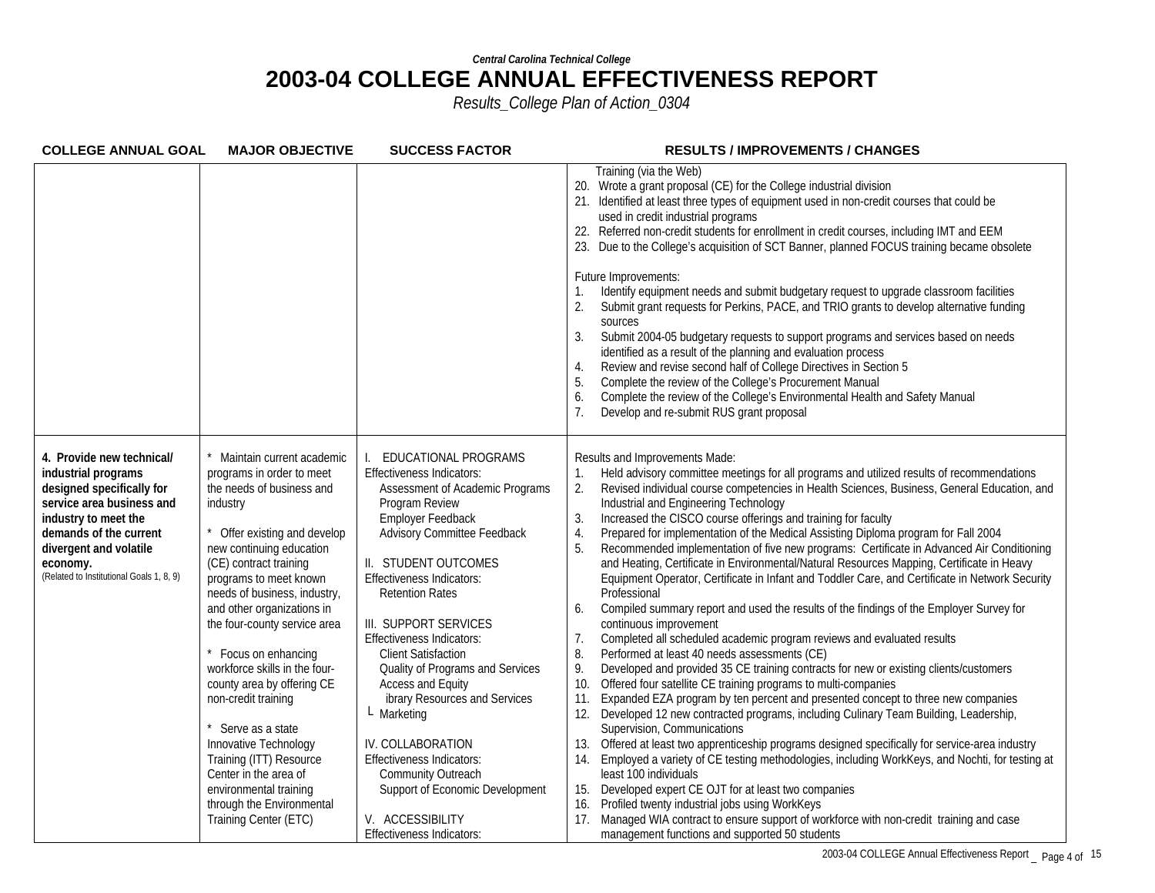| <b>COLLEGE ANNUAL GOAL</b>                                                                                                                                                                                                                     | <b>MAJOR OBJECTIVE</b>                                                                                                                                                                                                                                                                                                                                                                                                                                                                                                                                                                                   | <b>SUCCESS FACTOR</b>                                                                                                                                                                                                                                                                                                                                                                                                                                                                                                                                                                                                            | <b>RESULTS / IMPROVEMENTS / CHANGES</b>                                                                                                                                                                                                                                                                                                                                                                                                                                                                                                                                                                                                                                                                                                                                                                                                                                                                                                                                                                                                                                                                                                                                                                                                                                                                                                                                                                                                                                                                                                                                                                                                                                                                                                                                                                                                                                                                                        |
|------------------------------------------------------------------------------------------------------------------------------------------------------------------------------------------------------------------------------------------------|----------------------------------------------------------------------------------------------------------------------------------------------------------------------------------------------------------------------------------------------------------------------------------------------------------------------------------------------------------------------------------------------------------------------------------------------------------------------------------------------------------------------------------------------------------------------------------------------------------|----------------------------------------------------------------------------------------------------------------------------------------------------------------------------------------------------------------------------------------------------------------------------------------------------------------------------------------------------------------------------------------------------------------------------------------------------------------------------------------------------------------------------------------------------------------------------------------------------------------------------------|--------------------------------------------------------------------------------------------------------------------------------------------------------------------------------------------------------------------------------------------------------------------------------------------------------------------------------------------------------------------------------------------------------------------------------------------------------------------------------------------------------------------------------------------------------------------------------------------------------------------------------------------------------------------------------------------------------------------------------------------------------------------------------------------------------------------------------------------------------------------------------------------------------------------------------------------------------------------------------------------------------------------------------------------------------------------------------------------------------------------------------------------------------------------------------------------------------------------------------------------------------------------------------------------------------------------------------------------------------------------------------------------------------------------------------------------------------------------------------------------------------------------------------------------------------------------------------------------------------------------------------------------------------------------------------------------------------------------------------------------------------------------------------------------------------------------------------------------------------------------------------------------------------------------------------|
|                                                                                                                                                                                                                                                |                                                                                                                                                                                                                                                                                                                                                                                                                                                                                                                                                                                                          |                                                                                                                                                                                                                                                                                                                                                                                                                                                                                                                                                                                                                                  | Training (via the Web)<br>20. Wrote a grant proposal (CE) for the College industrial division<br>21. Identified at least three types of equipment used in non-credit courses that could be<br>used in credit industrial programs<br>22. Referred non-credit students for enrollment in credit courses, including IMT and EEM<br>23. Due to the College's acquisition of SCT Banner, planned FOCUS training became obsolete<br>Future Improvements:<br>Identify equipment needs and submit budgetary request to upgrade classroom facilities<br>Submit grant requests for Perkins, PACE, and TRIO grants to develop alternative funding<br>2.<br>sources<br>Submit 2004-05 budgetary requests to support programs and services based on needs<br>3.<br>identified as a result of the planning and evaluation process<br>Review and revise second half of College Directives in Section 5<br>4.<br>Complete the review of the College's Procurement Manual<br>5.<br>Complete the review of the College's Environmental Health and Safety Manual<br>6.<br>Develop and re-submit RUS grant proposal                                                                                                                                                                                                                                                                                                                                                                                                                                                                                                                                                                                                                                                                                                                                                                                                                                |
| 4. Provide new technical/<br>industrial programs<br>designed specifically for<br>service area business and<br>industry to meet the<br>demands of the current<br>divergent and volatile<br>economy.<br>(Related to Institutional Goals 1, 8, 9) | Maintain current academic<br>programs in order to meet<br>the needs of business and<br>industry<br>Offer existing and develop<br>new continuing education<br>(CE) contract training<br>programs to meet known<br>needs of business, industry,<br>and other organizations in<br>the four-county service area<br>Focus on enhancing<br>workforce skills in the four-<br>county area by offering CE<br>non-credit training<br>Serve as a state<br>Innovative Technology<br>Training (ITT) Resource<br>Center in the area of<br>environmental training<br>through the Environmental<br>Training Center (ETC) | EDUCATIONAL PROGRAMS<br><b>Effectiveness Indicators:</b><br>Assessment of Academic Programs<br>Program Review<br>Employer Feedback<br>Advisory Committee Feedback<br>II. STUDENT OUTCOMES<br><b>Effectiveness Indicators:</b><br><b>Retention Rates</b><br>III. SUPPORT SERVICES<br><b>Effectiveness Indicators:</b><br><b>Client Satisfaction</b><br>Quality of Programs and Services<br>Access and Equity<br>ibrary Resources and Services<br>$L$ Marketing<br>IV. COLLABORATION<br><b>Effectiveness Indicators:</b><br>Community Outreach<br>Support of Economic Development<br>V. ACCESSIBILITY<br>Effectiveness Indicators: | Results and Improvements Made:<br>Held advisory committee meetings for all programs and utilized results of recommendations<br>Revised individual course competencies in Health Sciences, Business, General Education, and<br>Industrial and Engineering Technology<br>Increased the CISCO course offerings and training for faculty<br>3.<br>Prepared for implementation of the Medical Assisting Diploma program for Fall 2004<br>4.<br>Recommended implementation of five new programs: Certificate in Advanced Air Conditioning<br>5.<br>and Heating, Certificate in Environmental/Natural Resources Mapping, Certificate in Heavy<br>Equipment Operator, Certificate in Infant and Toddler Care, and Certificate in Network Security<br>Professional<br>Compiled summary report and used the results of the findings of the Employer Survey for<br>6.<br>continuous improvement<br>Completed all scheduled academic program reviews and evaluated results<br>7.<br>8.<br>Performed at least 40 needs assessments (CE)<br>9.<br>Developed and provided 35 CE training contracts for new or existing clients/customers<br>Offered four satellite CE training programs to multi-companies<br>10.<br>Expanded EZA program by ten percent and presented concept to three new companies<br>11.<br>12. Developed 12 new contracted programs, including Culinary Team Building, Leadership,<br>Supervision, Communications<br>Offered at least two apprenticeship programs designed specifically for service-area industry<br>13.<br>Employed a variety of CE testing methodologies, including WorkKeys, and Nochti, for testing at<br>14.<br>least 100 individuals<br>Developed expert CE OJT for at least two companies<br>15.<br>Profiled twenty industrial jobs using WorkKeys<br>17. Managed WIA contract to ensure support of workforce with non-credit training and case<br>management functions and supported 50 students |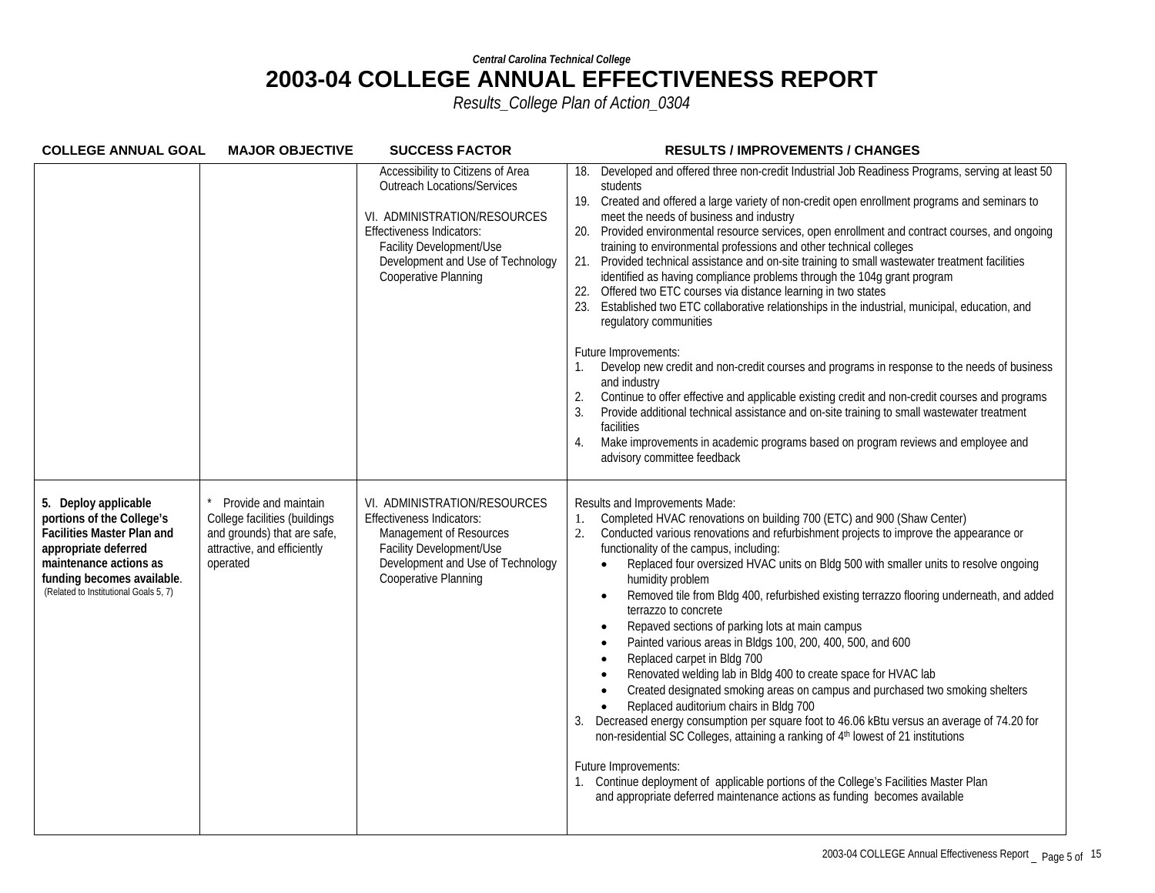| <b>COLLEGE ANNUAL GOAL</b>                                                                                                                                                                                      | <b>MAJOR OBJECTIVE</b>                                                                                                          | <b>SUCCESS FACTOR</b>                                                                                                                                                                                                                | <b>RESULTS / IMPROVEMENTS / CHANGES</b>                                                                                                                                                                                                                                                                                                                                                                                                                                                                                                                                                                                                                                                                                                                                                                                                                                                                                                                                                                                                                                                                                                                                                                                                                                                                              |
|-----------------------------------------------------------------------------------------------------------------------------------------------------------------------------------------------------------------|---------------------------------------------------------------------------------------------------------------------------------|--------------------------------------------------------------------------------------------------------------------------------------------------------------------------------------------------------------------------------------|----------------------------------------------------------------------------------------------------------------------------------------------------------------------------------------------------------------------------------------------------------------------------------------------------------------------------------------------------------------------------------------------------------------------------------------------------------------------------------------------------------------------------------------------------------------------------------------------------------------------------------------------------------------------------------------------------------------------------------------------------------------------------------------------------------------------------------------------------------------------------------------------------------------------------------------------------------------------------------------------------------------------------------------------------------------------------------------------------------------------------------------------------------------------------------------------------------------------------------------------------------------------------------------------------------------------|
|                                                                                                                                                                                                                 |                                                                                                                                 | Accessibility to Citizens of Area<br><b>Outreach Locations/Services</b><br>VI. ADMINISTRATION/RESOURCES<br><b>Effectiveness Indicators:</b><br>Facility Development/Use<br>Development and Use of Technology<br>Cooperative Planning | Developed and offered three non-credit Industrial Job Readiness Programs, serving at least 50<br>18.<br>students<br>19. Created and offered a large variety of non-credit open enrollment programs and seminars to<br>meet the needs of business and industry<br>Provided environmental resource services, open enrollment and contract courses, and ongoing<br>20.<br>training to environmental professions and other technical colleges<br>Provided technical assistance and on-site training to small wastewater treatment facilities<br>21.<br>identified as having compliance problems through the 104g grant program<br>Offered two ETC courses via distance learning in two states<br>Established two ETC collaborative relationships in the industrial, municipal, education, and<br>23.<br>regulatory communities<br>Future Improvements:<br>Develop new credit and non-credit courses and programs in response to the needs of business<br>and industry<br>Continue to offer effective and applicable existing credit and non-credit courses and programs<br>2.<br>Provide additional technical assistance and on-site training to small wastewater treatment<br>3.<br>facilities<br>Make improvements in academic programs based on program reviews and employee and<br>4.<br>advisory committee feedback |
| 5. Deploy applicable<br>portions of the College's<br><b>Facilities Master Plan and</b><br>appropriate deferred<br>maintenance actions as<br>funding becomes available.<br>(Related to Institutional Goals 5, 7) | Provide and maintain<br>College facilities (buildings<br>and grounds) that are safe,<br>attractive, and efficiently<br>operated | VI. ADMINISTRATION/RESOURCES<br>Effectiveness Indicators:<br>Management of Resources<br>Facility Development/Use<br>Development and Use of Technology<br>Cooperative Planning                                                        | Results and Improvements Made:<br>Completed HVAC renovations on building 700 (ETC) and 900 (Shaw Center)<br>1.<br>Conducted various renovations and refurbishment projects to improve the appearance or<br>2.<br>functionality of the campus, including:<br>Replaced four oversized HVAC units on Bldg 500 with smaller units to resolve ongoing<br>$\bullet$<br>humidity problem<br>Removed tile from Bldg 400, refurbished existing terrazzo flooring underneath, and added<br>$\bullet$<br>terrazzo to concrete<br>Repaved sections of parking lots at main campus<br>$\bullet$<br>Painted various areas in Bldgs 100, 200, 400, 500, and 600<br>Replaced carpet in Bldg 700<br>Renovated welding lab in Bldg 400 to create space for HVAC lab<br>Created designated smoking areas on campus and purchased two smoking shelters<br>Replaced auditorium chairs in Bldg 700<br>Decreased energy consumption per square foot to 46.06 kBtu versus an average of 74.20 for<br>3.<br>non-residential SC Colleges, attaining a ranking of 4 <sup>th</sup> lowest of 21 institutions<br>Future Improvements:<br>Continue deployment of applicable portions of the College's Facilities Master Plan<br>and appropriate deferred maintenance actions as funding becomes available                                          |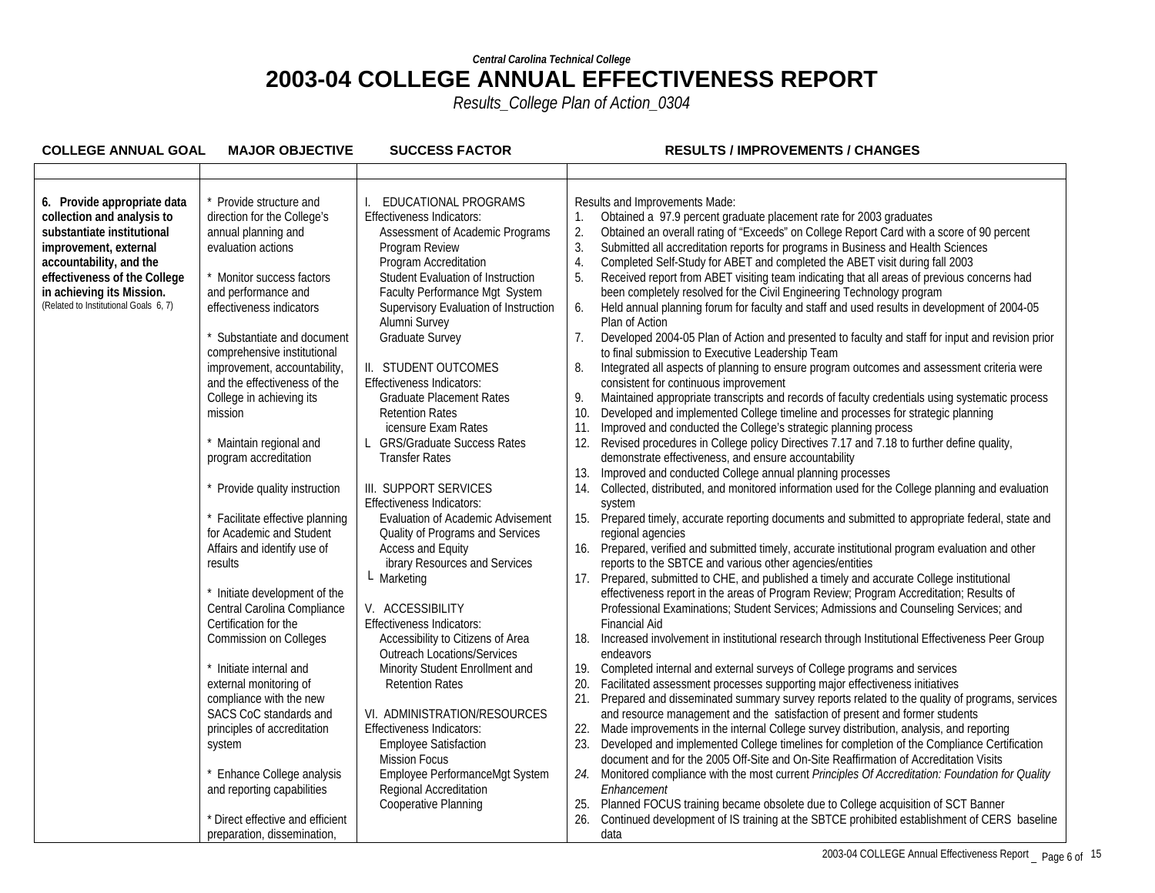| <b>COLLEGE ANNUAL GOAL</b>                                                                                                                                                                                                                        | <b>MAJOR OBJECTIVE</b>                                                                                                                                                                                                                                                                                                                                                                                                                                                                                                                                                                                                                                                                                                                                                                                              | <b>SUCCESS FACTOR</b>                                                                                                                                                                                                                                                                                                                                                                                                                                                                                                                                                                                                                                                                                                                                                                                                                                                                                                                                                                                       | <b>RESULTS / IMPROVEMENTS / CHANGES</b>                                                                                                                                                                                                                                                                                                                                                                                                                                                                                                                                                                                                                                                                                                                                                                                                                                                                                                                                                                                                                                                                                                                                                                                                                                                                                                                                                                                                                                                                                                                                                                                                                                                                                                                                                                                                                                                                                                                                                                                                                                                                                                                                                                                                                                                                                                                                                                                                                                                                                                                                                                                                                                                                                                                                                                                                                                                                                                  |
|---------------------------------------------------------------------------------------------------------------------------------------------------------------------------------------------------------------------------------------------------|---------------------------------------------------------------------------------------------------------------------------------------------------------------------------------------------------------------------------------------------------------------------------------------------------------------------------------------------------------------------------------------------------------------------------------------------------------------------------------------------------------------------------------------------------------------------------------------------------------------------------------------------------------------------------------------------------------------------------------------------------------------------------------------------------------------------|-------------------------------------------------------------------------------------------------------------------------------------------------------------------------------------------------------------------------------------------------------------------------------------------------------------------------------------------------------------------------------------------------------------------------------------------------------------------------------------------------------------------------------------------------------------------------------------------------------------------------------------------------------------------------------------------------------------------------------------------------------------------------------------------------------------------------------------------------------------------------------------------------------------------------------------------------------------------------------------------------------------|------------------------------------------------------------------------------------------------------------------------------------------------------------------------------------------------------------------------------------------------------------------------------------------------------------------------------------------------------------------------------------------------------------------------------------------------------------------------------------------------------------------------------------------------------------------------------------------------------------------------------------------------------------------------------------------------------------------------------------------------------------------------------------------------------------------------------------------------------------------------------------------------------------------------------------------------------------------------------------------------------------------------------------------------------------------------------------------------------------------------------------------------------------------------------------------------------------------------------------------------------------------------------------------------------------------------------------------------------------------------------------------------------------------------------------------------------------------------------------------------------------------------------------------------------------------------------------------------------------------------------------------------------------------------------------------------------------------------------------------------------------------------------------------------------------------------------------------------------------------------------------------------------------------------------------------------------------------------------------------------------------------------------------------------------------------------------------------------------------------------------------------------------------------------------------------------------------------------------------------------------------------------------------------------------------------------------------------------------------------------------------------------------------------------------------------------------------------------------------------------------------------------------------------------------------------------------------------------------------------------------------------------------------------------------------------------------------------------------------------------------------------------------------------------------------------------------------------------------------------------------------------------------------------------------------------|
|                                                                                                                                                                                                                                                   |                                                                                                                                                                                                                                                                                                                                                                                                                                                                                                                                                                                                                                                                                                                                                                                                                     |                                                                                                                                                                                                                                                                                                                                                                                                                                                                                                                                                                                                                                                                                                                                                                                                                                                                                                                                                                                                             |                                                                                                                                                                                                                                                                                                                                                                                                                                                                                                                                                                                                                                                                                                                                                                                                                                                                                                                                                                                                                                                                                                                                                                                                                                                                                                                                                                                                                                                                                                                                                                                                                                                                                                                                                                                                                                                                                                                                                                                                                                                                                                                                                                                                                                                                                                                                                                                                                                                                                                                                                                                                                                                                                                                                                                                                                                                                                                                                          |
| 6. Provide appropriate data<br>collection and analysis to<br>substantiate institutional<br>improvement, external<br>accountability, and the<br>effectiveness of the College<br>in achieving its Mission.<br>(Related to Institutional Goals 6, 7) | Provide structure and<br>direction for the College's<br>annual planning and<br>evaluation actions<br>Monitor success factors<br>and performance and<br>effectiveness indicators<br>Substantiate and document<br>comprehensive institutional<br>improvement, accountability,<br>and the effectiveness of the<br>College in achieving its<br>mission<br>Maintain regional and<br>program accreditation<br>Provide quality instruction<br>Facilitate effective planning<br>for Academic and Student<br>Affairs and identify use of<br>results<br>Initiate development of the<br>Central Carolina Compliance<br>Certification for the<br><b>Commission on Colleges</b><br>Initiate internal and<br>external monitoring of<br>compliance with the new<br>SACS CoC standards and<br>principles of accreditation<br>system | EDUCATIONAL PROGRAMS<br><b>Effectiveness Indicators:</b><br>Assessment of Academic Programs<br>Program Review<br>Program Accreditation<br>Student Evaluation of Instruction<br>Faculty Performance Mgt System<br>Supervisory Evaluation of Instruction<br>Alumni Survey<br>Graduate Survey<br>II. STUDENT OUTCOMES<br><b>Effectiveness Indicators:</b><br><b>Graduate Placement Rates</b><br><b>Retention Rates</b><br>icensure Exam Rates<br>L GRS/Graduate Success Rates<br><b>Transfer Rates</b><br>III. SUPPORT SERVICES<br><b>Effectiveness Indicators:</b><br>Evaluation of Academic Advisement<br>Quality of Programs and Services<br>Access and Equity<br>ibrary Resources and Services<br>L Marketing<br>V. ACCESSIBILITY<br>Effectiveness Indicators:<br>Accessibility to Citizens of Area<br><b>Outreach Locations/Services</b><br>Minority Student Enrollment and<br><b>Retention Rates</b><br>VI. ADMINISTRATION/RESOURCES<br><b>Effectiveness Indicators:</b><br><b>Employee Satisfaction</b> | Results and Improvements Made:<br>Obtained a 97.9 percent graduate placement rate for 2003 graduates<br>1.<br>2.<br>Obtained an overall rating of "Exceeds" on College Report Card with a score of 90 percent<br>3.<br>Submitted all accreditation reports for programs in Business and Health Sciences<br>4.<br>Completed Self-Study for ABET and completed the ABET visit during fall 2003<br>5.<br>Received report from ABET visiting team indicating that all areas of previous concerns had<br>been completely resolved for the Civil Engineering Technology program<br>6.<br>Held annual planning forum for faculty and staff and used results in development of 2004-05<br>Plan of Action<br>7.<br>Developed 2004-05 Plan of Action and presented to faculty and staff for input and revision prior<br>to final submission to Executive Leadership Team<br>Integrated all aspects of planning to ensure program outcomes and assessment criteria were<br>8.<br>consistent for continuous improvement<br>Maintained appropriate transcripts and records of faculty credentials using systematic process<br>9.<br>10.<br>Developed and implemented College timeline and processes for strategic planning<br>Improved and conducted the College's strategic planning process<br>11.<br>Revised procedures in College policy Directives 7.17 and 7.18 to further define quality,<br>12.<br>demonstrate effectiveness, and ensure accountability<br>Improved and conducted College annual planning processes<br>13.<br>Collected, distributed, and monitored information used for the College planning and evaluation<br>14.<br>system<br>Prepared timely, accurate reporting documents and submitted to appropriate federal, state and<br>15.<br>regional agencies<br>16. Prepared, verified and submitted timely, accurate institutional program evaluation and other<br>reports to the SBTCE and various other agencies/entities<br>17. Prepared, submitted to CHE, and published a timely and accurate College institutional<br>effectiveness report in the areas of Program Review; Program Accreditation; Results of<br>Professional Examinations; Student Services; Admissions and Counseling Services; and<br><b>Financial Aid</b><br>18.<br>Increased involvement in institutional research through Institutional Effectiveness Peer Group<br>endeavors<br>Completed internal and external surveys of College programs and services<br>19.<br>Facilitated assessment processes supporting major effectiveness initiatives<br>20.<br>Prepared and disseminated summary survey reports related to the quality of programs, services<br>21.<br>and resource management and the satisfaction of present and former students<br>Made improvements in the internal College survey distribution, analysis, and reporting<br>22.<br>Developed and implemented College timelines for completion of the Compliance Certification<br>23. |
|                                                                                                                                                                                                                                                   | Enhance College analysis                                                                                                                                                                                                                                                                                                                                                                                                                                                                                                                                                                                                                                                                                                                                                                                            | <b>Mission Focus</b><br>Employee PerformanceMgt System                                                                                                                                                                                                                                                                                                                                                                                                                                                                                                                                                                                                                                                                                                                                                                                                                                                                                                                                                      | document and for the 2005 Off-Site and On-Site Reaffirmation of Accreditation Visits<br>Monitored compliance with the most current Principles Of Accreditation: Foundation for Quality<br>24.                                                                                                                                                                                                                                                                                                                                                                                                                                                                                                                                                                                                                                                                                                                                                                                                                                                                                                                                                                                                                                                                                                                                                                                                                                                                                                                                                                                                                                                                                                                                                                                                                                                                                                                                                                                                                                                                                                                                                                                                                                                                                                                                                                                                                                                                                                                                                                                                                                                                                                                                                                                                                                                                                                                                            |
|                                                                                                                                                                                                                                                   | and reporting capabilities                                                                                                                                                                                                                                                                                                                                                                                                                                                                                                                                                                                                                                                                                                                                                                                          | Regional Accreditation<br>Cooperative Planning                                                                                                                                                                                                                                                                                                                                                                                                                                                                                                                                                                                                                                                                                                                                                                                                                                                                                                                                                              | Enhancement<br>Planned FOCUS training became obsolete due to College acquisition of SCT Banner<br>25.                                                                                                                                                                                                                                                                                                                                                                                                                                                                                                                                                                                                                                                                                                                                                                                                                                                                                                                                                                                                                                                                                                                                                                                                                                                                                                                                                                                                                                                                                                                                                                                                                                                                                                                                                                                                                                                                                                                                                                                                                                                                                                                                                                                                                                                                                                                                                                                                                                                                                                                                                                                                                                                                                                                                                                                                                                    |
|                                                                                                                                                                                                                                                   | * Direct effective and efficient<br>preparation, dissemination,                                                                                                                                                                                                                                                                                                                                                                                                                                                                                                                                                                                                                                                                                                                                                     |                                                                                                                                                                                                                                                                                                                                                                                                                                                                                                                                                                                                                                                                                                                                                                                                                                                                                                                                                                                                             | Continued development of IS training at the SBTCE prohibited establishment of CERS baseline<br>26.<br>data                                                                                                                                                                                                                                                                                                                                                                                                                                                                                                                                                                                                                                                                                                                                                                                                                                                                                                                                                                                                                                                                                                                                                                                                                                                                                                                                                                                                                                                                                                                                                                                                                                                                                                                                                                                                                                                                                                                                                                                                                                                                                                                                                                                                                                                                                                                                                                                                                                                                                                                                                                                                                                                                                                                                                                                                                               |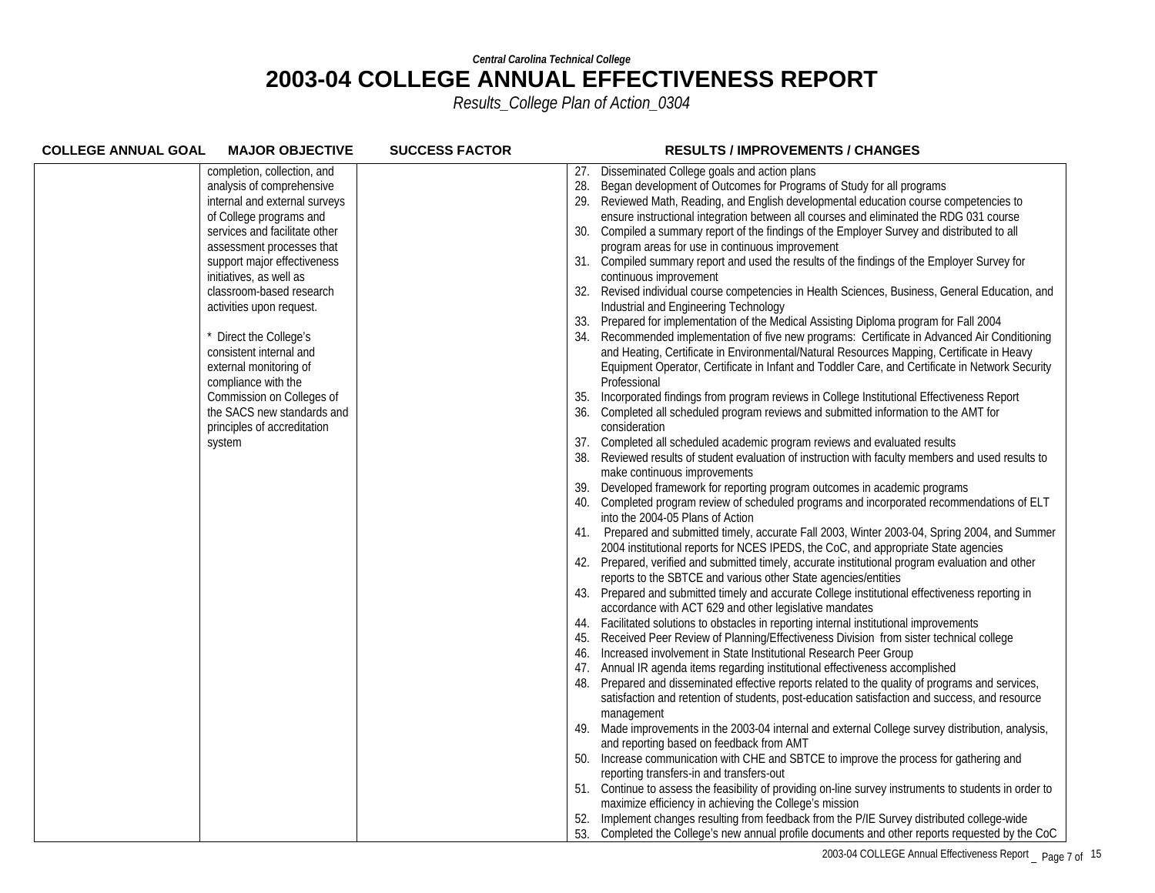| <b>COLLEGE ANNUAL GOAL</b>    | <b>MAJOR OBJECTIVE</b><br><b>SUCCESS FACTOR</b> |     | <b>RESULTS / IMPROVEMENTS / CHANGES</b>                                                                                        |
|-------------------------------|-------------------------------------------------|-----|--------------------------------------------------------------------------------------------------------------------------------|
| completion, collection, and   |                                                 | 27. | Disseminated College goals and action plans                                                                                    |
| analysis of comprehensive     |                                                 | 28. | Began development of Outcomes for Programs of Study for all programs                                                           |
| internal and external surveys |                                                 |     | Reviewed Math, Reading, and English developmental education course competencies to                                             |
| of College programs and       |                                                 |     | ensure instructional integration between all courses and eliminated the RDG 031 course                                         |
| services and facilitate other |                                                 | 30. | Compiled a summary report of the findings of the Employer Survey and distributed to all                                        |
| assessment processes that     |                                                 |     | program areas for use in continuous improvement                                                                                |
| support major effectiveness   |                                                 |     | 31. Compiled summary report and used the results of the findings of the Employer Survey for                                    |
| initiatives, as well as       |                                                 |     | continuous improvement                                                                                                         |
| classroom-based research      |                                                 | 32. | Revised individual course competencies in Health Sciences, Business, General Education, and                                    |
| activities upon request.      |                                                 |     | Industrial and Engineering Technology                                                                                          |
|                               |                                                 | 33. | Prepared for implementation of the Medical Assisting Diploma program for Fall 2004                                             |
| Direct the College's          |                                                 |     | Recommended implementation of five new programs: Certificate in Advanced Air Conditioning                                      |
| consistent internal and       |                                                 |     | and Heating, Certificate in Environmental/Natural Resources Mapping, Certificate in Heavy                                      |
| external monitoring of        |                                                 |     | Equipment Operator, Certificate in Infant and Toddler Care, and Certificate in Network Security                                |
| compliance with the           |                                                 |     | Professional                                                                                                                   |
| Commission on Colleges of     |                                                 | 35. | Incorporated findings from program reviews in College Institutional Effectiveness Report                                       |
| the SACS new standards and    |                                                 |     | Completed all scheduled program reviews and submitted information to the AMT for                                               |
| principles of accreditation   |                                                 |     | consideration                                                                                                                  |
| system                        |                                                 |     | 37. Completed all scheduled academic program reviews and evaluated results                                                     |
|                               |                                                 |     | Reviewed results of student evaluation of instruction with faculty members and used results to                                 |
|                               |                                                 |     | make continuous improvements                                                                                                   |
|                               |                                                 | 39. | Developed framework for reporting program outcomes in academic programs                                                        |
|                               |                                                 |     | Completed program review of scheduled programs and incorporated recommendations of ELT                                         |
|                               |                                                 |     | into the 2004-05 Plans of Action                                                                                               |
|                               |                                                 |     | 41. Prepared and submitted timely, accurate Fall 2003, Winter 2003-04, Spring 2004, and Summer                                 |
|                               |                                                 |     | 2004 institutional reports for NCES IPEDS, the CoC, and appropriate State agencies                                             |
|                               |                                                 |     | 42. Prepared, verified and submitted timely, accurate institutional program evaluation and other                               |
|                               |                                                 |     | reports to the SBTCE and various other State agencies/entities                                                                 |
|                               |                                                 |     | 43. Prepared and submitted timely and accurate College institutional effectiveness reporting in                                |
|                               |                                                 |     | accordance with ACT 629 and other legislative mandates                                                                         |
|                               |                                                 |     | Facilitated solutions to obstacles in reporting internal institutional improvements                                            |
|                               |                                                 |     | Received Peer Review of Planning/Effectiveness Division from sister technical college                                          |
|                               |                                                 | 46. | Increased involvement in State Institutional Research Peer Group                                                               |
|                               |                                                 | 47. | Annual IR agenda items regarding institutional effectiveness accomplished                                                      |
|                               |                                                 |     | Prepared and disseminated effective reports related to the quality of programs and services,                                   |
|                               |                                                 |     | satisfaction and retention of students, post-education satisfaction and success, and resource                                  |
|                               |                                                 |     | management                                                                                                                     |
|                               |                                                 |     | 49. Made improvements in the 2003-04 internal and external College survey distribution, analysis,                              |
|                               |                                                 | 50. | and reporting based on feedback from AMT<br>Increase communication with CHE and SBTCE to improve the process for gathering and |
|                               |                                                 |     | reporting transfers-in and transfers-out                                                                                       |
|                               |                                                 |     | 51. Continue to assess the feasibility of providing on-line survey instruments to students in order to                         |
|                               |                                                 |     | maximize efficiency in achieving the College's mission                                                                         |
|                               |                                                 |     | Implement changes resulting from feedback from the P/IE Survey distributed college-wide                                        |
|                               |                                                 | 53. | Completed the College's new annual profile documents and other reports requested by the CoC                                    |
|                               |                                                 |     |                                                                                                                                |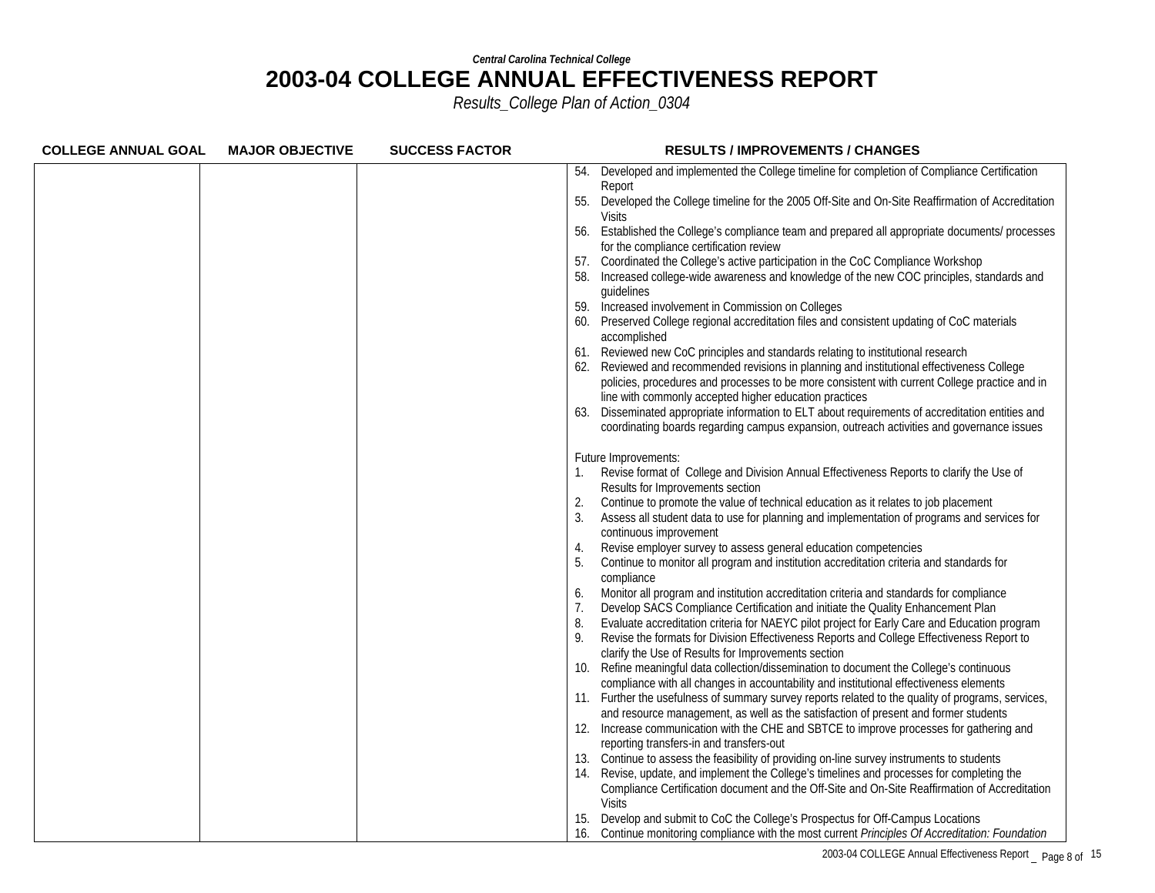| <b>COLLEGE ANNUAL GOAL</b> | <b>MAJOR OBJECTIVE</b> | <b>SUCCESS FACTOR</b> | <b>RESULTS / IMPROVEMENTS / CHANGES</b>                                                                                                                                                               |
|----------------------------|------------------------|-----------------------|-------------------------------------------------------------------------------------------------------------------------------------------------------------------------------------------------------|
|                            |                        |                       | Developed and implemented the College timeline for completion of Compliance Certification<br>54.                                                                                                      |
|                            |                        |                       | Report                                                                                                                                                                                                |
|                            |                        |                       | 55.<br>Developed the College timeline for the 2005 Off-Site and On-Site Reaffirmation of Accreditation                                                                                                |
|                            |                        |                       | <b>Visits</b>                                                                                                                                                                                         |
|                            |                        |                       | 56.<br>Established the College's compliance team and prepared all appropriate documents/ processes                                                                                                    |
|                            |                        |                       | for the compliance certification review                                                                                                                                                               |
|                            |                        |                       | Coordinated the College's active participation in the CoC Compliance Workshop<br>57.<br>Increased college-wide awareness and knowledge of the new COC principles, standards and                       |
|                            |                        |                       | quidelines                                                                                                                                                                                            |
|                            |                        |                       | 59.<br>Increased involvement in Commission on Colleges                                                                                                                                                |
|                            |                        |                       | Preserved College regional accreditation files and consistent updating of CoC materials                                                                                                               |
|                            |                        |                       | accomplished                                                                                                                                                                                          |
|                            |                        |                       | 61. Reviewed new CoC principles and standards relating to institutional research                                                                                                                      |
|                            |                        |                       | Reviewed and recommended revisions in planning and institutional effectiveness College                                                                                                                |
|                            |                        |                       | policies, procedures and processes to be more consistent with current College practice and in                                                                                                         |
|                            |                        |                       | line with commonly accepted higher education practices                                                                                                                                                |
|                            |                        |                       | Disseminated appropriate information to ELT about requirements of accreditation entities and<br>63.                                                                                                   |
|                            |                        |                       | coordinating boards regarding campus expansion, outreach activities and governance issues                                                                                                             |
|                            |                        |                       | Future Improvements:                                                                                                                                                                                  |
|                            |                        |                       | Revise format of College and Division Annual Effectiveness Reports to clarify the Use of                                                                                                              |
|                            |                        |                       | Results for Improvements section                                                                                                                                                                      |
|                            |                        |                       | Continue to promote the value of technical education as it relates to job placement<br>2.                                                                                                             |
|                            |                        |                       | Assess all student data to use for planning and implementation of programs and services for                                                                                                           |
|                            |                        |                       | continuous improvement                                                                                                                                                                                |
|                            |                        |                       | Revise employer survey to assess general education competencies<br>4.                                                                                                                                 |
|                            |                        |                       | Continue to monitor all program and institution accreditation criteria and standards for<br>5.                                                                                                        |
|                            |                        |                       | compliance                                                                                                                                                                                            |
|                            |                        |                       | Monitor all program and institution accreditation criteria and standards for compliance<br>6.                                                                                                         |
|                            |                        |                       | 7.<br>Develop SACS Compliance Certification and initiate the Quality Enhancement Plan                                                                                                                 |
|                            |                        |                       | 8.<br>Evaluate accreditation criteria for NAEYC pilot project for Early Care and Education program<br>Revise the formats for Division Effectiveness Reports and College Effectiveness Report to<br>9. |
|                            |                        |                       | clarify the Use of Results for Improvements section                                                                                                                                                   |
|                            |                        |                       | Refine meaningful data collection/dissemination to document the College's continuous<br>10.                                                                                                           |
|                            |                        |                       | compliance with all changes in accountability and institutional effectiveness elements                                                                                                                |
|                            |                        |                       | 11. Further the usefulness of summary survey reports related to the quality of programs, services,                                                                                                    |
|                            |                        |                       | and resource management, as well as the satisfaction of present and former students                                                                                                                   |
|                            |                        |                       | 12. Increase communication with the CHE and SBTCE to improve processes for gathering and                                                                                                              |
|                            |                        |                       | reporting transfers-in and transfers-out                                                                                                                                                              |
|                            |                        |                       | Continue to assess the feasibility of providing on-line survey instruments to students                                                                                                                |
|                            |                        |                       | Revise, update, and implement the College's timelines and processes for completing the                                                                                                                |
|                            |                        |                       | Compliance Certification document and the Off-Site and On-Site Reaffirmation of Accreditation                                                                                                         |
|                            |                        |                       | <b>Visits</b>                                                                                                                                                                                         |
|                            |                        |                       | Develop and submit to CoC the College's Prospectus for Off-Campus Locations                                                                                                                           |
|                            |                        |                       | Continue monitoring compliance with the most current Principles Of Accreditation: Foundation<br>16.                                                                                                   |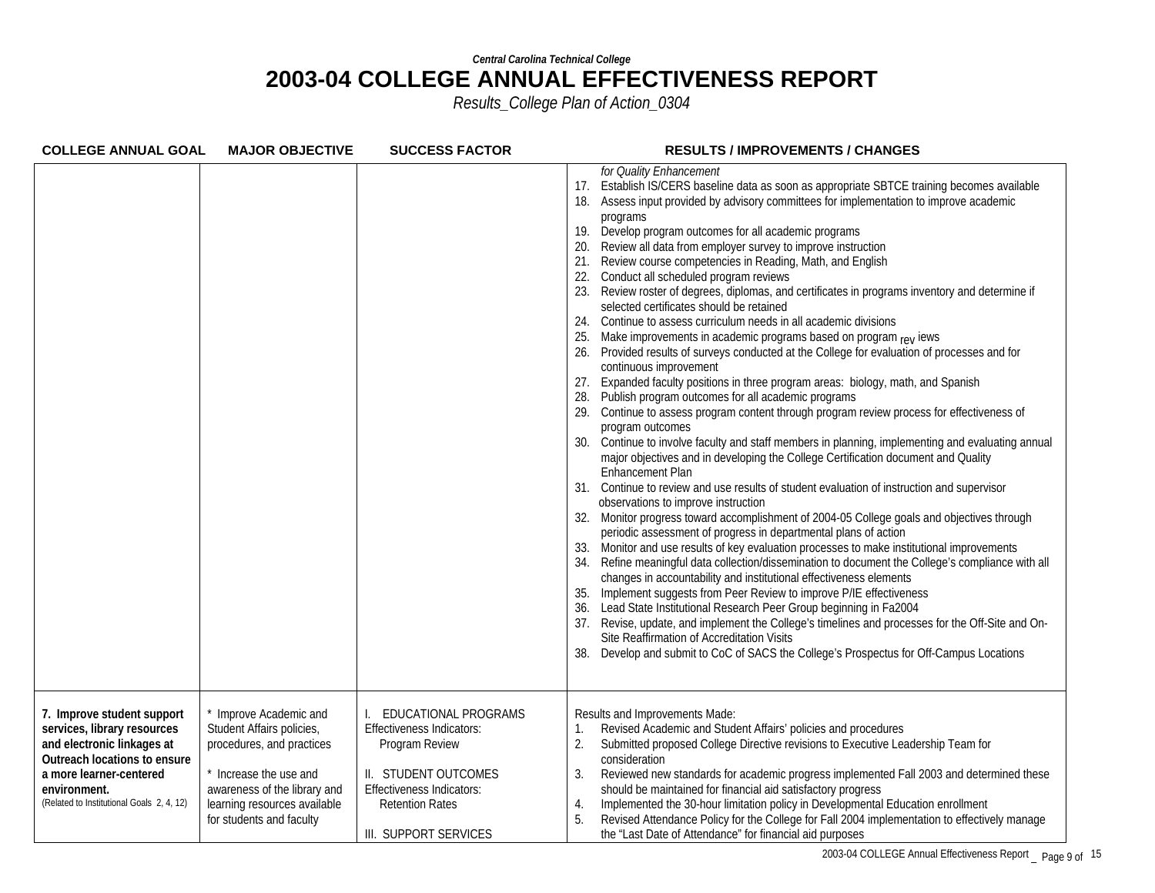| <b>COLLEGE ANNUAL GOAL</b>                                                                                                                                                                                      | <b>MAJOR OBJECTIVE</b>                                                                                                                                                                               | <b>SUCCESS FACTOR</b>                                                                                                                                                                     | <b>RESULTS / IMPROVEMENTS / CHANGES</b>                                                                                                                                                                                                                                                                                                                                                                                                                                                                                                                                                                                                                                                                                                                                                                                                                                                                                                                                                                                                                                                                                                                                                                                                                                                                                                                                                                                                                                                                                                                                                                                                                                                                                                                                                                                                                                                                                                                                                                                                                                                                                                                                                                                                                                                                                                                                                       |
|-----------------------------------------------------------------------------------------------------------------------------------------------------------------------------------------------------------------|------------------------------------------------------------------------------------------------------------------------------------------------------------------------------------------------------|-------------------------------------------------------------------------------------------------------------------------------------------------------------------------------------------|-----------------------------------------------------------------------------------------------------------------------------------------------------------------------------------------------------------------------------------------------------------------------------------------------------------------------------------------------------------------------------------------------------------------------------------------------------------------------------------------------------------------------------------------------------------------------------------------------------------------------------------------------------------------------------------------------------------------------------------------------------------------------------------------------------------------------------------------------------------------------------------------------------------------------------------------------------------------------------------------------------------------------------------------------------------------------------------------------------------------------------------------------------------------------------------------------------------------------------------------------------------------------------------------------------------------------------------------------------------------------------------------------------------------------------------------------------------------------------------------------------------------------------------------------------------------------------------------------------------------------------------------------------------------------------------------------------------------------------------------------------------------------------------------------------------------------------------------------------------------------------------------------------------------------------------------------------------------------------------------------------------------------------------------------------------------------------------------------------------------------------------------------------------------------------------------------------------------------------------------------------------------------------------------------------------------------------------------------------------------------------------------------|
|                                                                                                                                                                                                                 |                                                                                                                                                                                                      |                                                                                                                                                                                           | for Quality Enhancement<br>Establish IS/CERS baseline data as soon as appropriate SBTCE training becomes available<br>17.<br>Assess input provided by advisory committees for implementation to improve academic<br>18.<br>programs<br>Develop program outcomes for all academic programs<br>19.<br>Review all data from employer survey to improve instruction<br>Review course competencies in Reading, Math, and English<br>21.<br>Conduct all scheduled program reviews<br>22.<br>Review roster of degrees, diplomas, and certificates in programs inventory and determine if<br>23.<br>selected certificates should be retained<br>Continue to assess curriculum needs in all academic divisions<br>24.<br>Make improvements in academic programs based on program rev lews<br>Provided results of surveys conducted at the College for evaluation of processes and for<br>26.<br>continuous improvement<br>Expanded faculty positions in three program areas: biology, math, and Spanish<br>27.<br>Publish program outcomes for all academic programs<br>28.<br>29. Continue to assess program content through program review process for effectiveness of<br>program outcomes<br>Continue to involve faculty and staff members in planning, implementing and evaluating annual<br>30.<br>major objectives and in developing the College Certification document and Quality<br>Enhancement Plan<br>31. Continue to review and use results of student evaluation of instruction and supervisor<br>observations to improve instruction<br>Monitor progress toward accomplishment of 2004-05 College goals and objectives through<br>32.<br>periodic assessment of progress in departmental plans of action<br>Monitor and use results of key evaluation processes to make institutional improvements<br>33.<br>Refine meaningful data collection/dissemination to document the College's compliance with all<br>34.<br>changes in accountability and institutional effectiveness elements<br>Implement suggests from Peer Review to improve P/IE effectiveness<br>35.<br>Lead State Institutional Research Peer Group beginning in Fa2004<br>37. Revise, update, and implement the College's timelines and processes for the Off-Site and On-<br>Site Reaffirmation of Accreditation Visits<br>Develop and submit to CoC of SACS the College's Prospectus for Off-Campus Locations<br>38. |
| 7. Improve student support<br>services, library resources<br>and electronic linkages at<br>Outreach locations to ensure<br>a more learner-centered<br>environment.<br>(Related to Institutional Goals 2, 4, 12) | Improve Academic and<br>Student Affairs policies,<br>procedures, and practices<br>* Increase the use and<br>awareness of the library and<br>learning resources available<br>for students and faculty | EDUCATIONAL PROGRAMS<br><b>Effectiveness Indicators:</b><br>Program Review<br>II. STUDENT OUTCOMES<br><b>Effectiveness Indicators:</b><br><b>Retention Rates</b><br>III. SUPPORT SERVICES | Results and Improvements Made:<br>Revised Academic and Student Affairs' policies and procedures<br>1.<br>Submitted proposed College Directive revisions to Executive Leadership Team for<br>2.<br>consideration<br>3.<br>Reviewed new standards for academic progress implemented Fall 2003 and determined these<br>should be maintained for financial aid satisfactory progress<br>Implemented the 30-hour limitation policy in Developmental Education enrollment<br>4.<br>Revised Attendance Policy for the College for Fall 2004 implementation to effectively manage<br>5.<br>the "Last Date of Attendance" for financial aid purposes                                                                                                                                                                                                                                                                                                                                                                                                                                                                                                                                                                                                                                                                                                                                                                                                                                                                                                                                                                                                                                                                                                                                                                                                                                                                                                                                                                                                                                                                                                                                                                                                                                                                                                                                                   |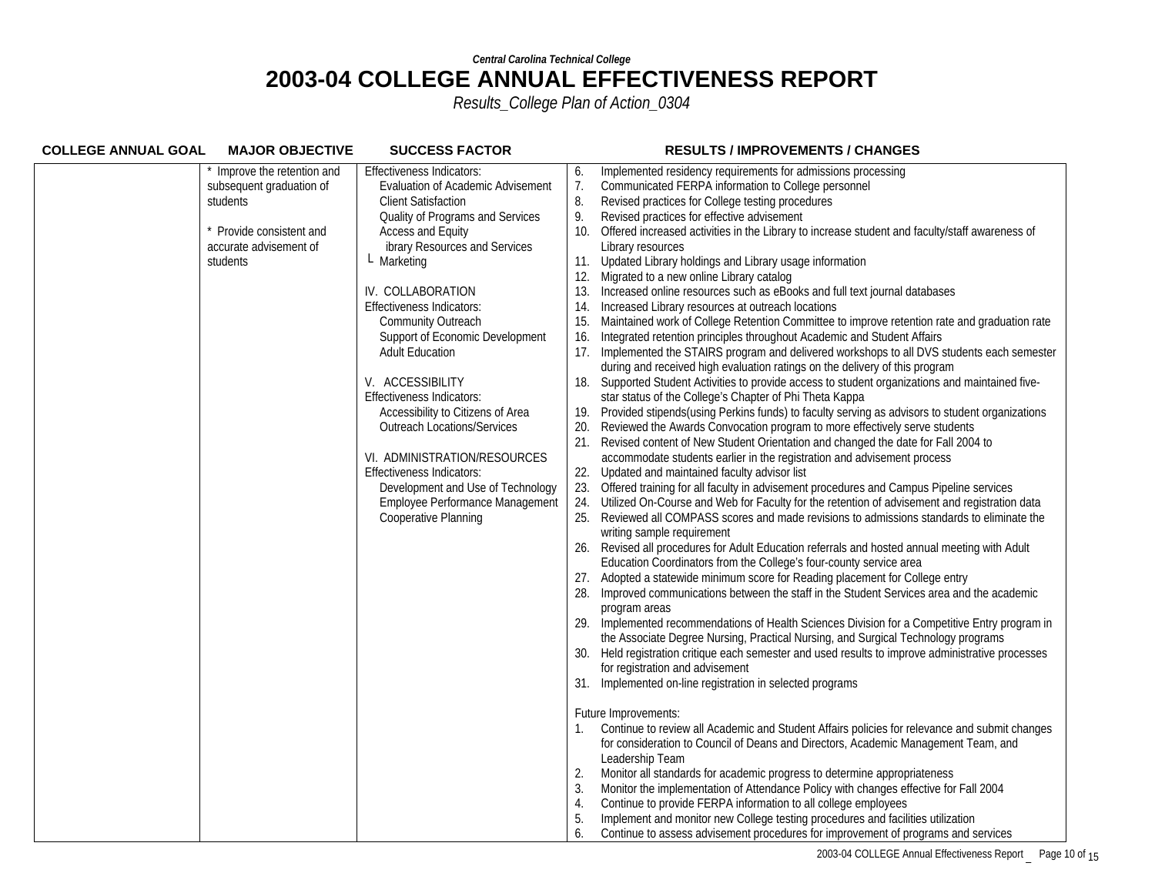| <b>COLLEGE ANNUAL GOAL</b><br><b>MAJOR OBJECTIVE</b> | <b>SUCCESS FACTOR</b>                    | <b>RESULTS / IMPROVEMENTS / CHANGES</b>                                                                                                                                             |
|------------------------------------------------------|------------------------------------------|-------------------------------------------------------------------------------------------------------------------------------------------------------------------------------------|
| Improve the retention and                            | Effectiveness Indicators:                | Implemented residency requirements for admissions processing<br>6.                                                                                                                  |
| subsequent graduation of                             | <b>Evaluation of Academic Advisement</b> | 7.<br>Communicated FERPA information to College personnel                                                                                                                           |
| students                                             | <b>Client Satisfaction</b>               | Revised practices for College testing procedures<br>8.                                                                                                                              |
|                                                      | Quality of Programs and Services         | 9.<br>Revised practices for effective advisement                                                                                                                                    |
| Provide consistent and                               | <b>Access and Equity</b>                 | Offered increased activities in the Library to increase student and faculty/staff awareness of<br>10.                                                                               |
| accurate advisement of                               | ibrary Resources and Services            | Library resources                                                                                                                                                                   |
| students                                             | L Marketing                              | Updated Library holdings and Library usage information<br>11.                                                                                                                       |
|                                                      |                                          | 12. Migrated to a new online Library catalog                                                                                                                                        |
|                                                      | IV. COLLABORATION                        | Increased online resources such as eBooks and full text journal databases<br>13.                                                                                                    |
|                                                      | Effectiveness Indicators:                | Increased Library resources at outreach locations<br>14.                                                                                                                            |
|                                                      | Community Outreach                       | Maintained work of College Retention Committee to improve retention rate and graduation rate<br>15.                                                                                 |
|                                                      | Support of Economic Development          | Integrated retention principles throughout Academic and Student Affairs<br>16.                                                                                                      |
|                                                      | <b>Adult Education</b>                   | Implemented the STAIRS program and delivered workshops to all DVS students each semester                                                                                            |
|                                                      |                                          | during and received high evaluation ratings on the delivery of this program                                                                                                         |
|                                                      | V. ACCESSIBILITY                         | 18. Supported Student Activities to provide access to student organizations and maintained five-                                                                                    |
|                                                      | Effectiveness Indicators:                | star status of the College's Chapter of Phi Theta Kappa                                                                                                                             |
|                                                      | Accessibility to Citizens of Area        | Provided stipends (using Perkins funds) to faculty serving as advisors to student organizations<br>19.                                                                              |
|                                                      | <b>Outreach Locations/Services</b>       | Reviewed the Awards Convocation program to more effectively serve students<br>20.                                                                                                   |
|                                                      |                                          | Revised content of New Student Orientation and changed the date for Fall 2004 to<br>21.                                                                                             |
|                                                      | VI. ADMINISTRATION/RESOURCES             | accommodate students earlier in the registration and advisement process                                                                                                             |
|                                                      | <b>Effectiveness Indicators:</b>         | 22.<br>Updated and maintained faculty advisor list                                                                                                                                  |
|                                                      | Development and Use of Technology        | Offered training for all faculty in advisement procedures and Campus Pipeline services<br>23.                                                                                       |
|                                                      | Employee Performance Management          | Utilized On-Course and Web for Faculty for the retention of advisement and registration data<br>24.                                                                                 |
|                                                      | Cooperative Planning                     | Reviewed all COMPASS scores and made revisions to admissions standards to eliminate the                                                                                             |
|                                                      |                                          | writing sample requirement                                                                                                                                                          |
|                                                      |                                          | Revised all procedures for Adult Education referrals and hosted annual meeting with Adult<br>26.                                                                                    |
|                                                      |                                          | Education Coordinators from the College's four-county service area                                                                                                                  |
|                                                      |                                          | 27. Adopted a statewide minimum score for Reading placement for College entry                                                                                                       |
|                                                      |                                          | Improved communications between the staff in the Student Services area and the academic                                                                                             |
|                                                      |                                          | program areas                                                                                                                                                                       |
|                                                      |                                          | 29. Implemented recommendations of Health Sciences Division for a Competitive Entry program in<br>the Associate Degree Nursing, Practical Nursing, and Surgical Technology programs |
|                                                      |                                          | Held registration critique each semester and used results to improve administrative processes                                                                                       |
|                                                      |                                          | 30.<br>for registration and advisement                                                                                                                                              |
|                                                      |                                          |                                                                                                                                                                                     |
|                                                      |                                          | 31. Implemented on-line registration in selected programs                                                                                                                           |
|                                                      |                                          | Future Improvements:                                                                                                                                                                |
|                                                      |                                          | Continue to review all Academic and Student Affairs policies for relevance and submit changes                                                                                       |
|                                                      |                                          | for consideration to Council of Deans and Directors, Academic Management Team, and                                                                                                  |
|                                                      |                                          | Leadership Team                                                                                                                                                                     |
|                                                      |                                          | Monitor all standards for academic progress to determine appropriateness<br>2.                                                                                                      |
|                                                      |                                          | Monitor the implementation of Attendance Policy with changes effective for Fall 2004<br>3.                                                                                          |
|                                                      |                                          | Continue to provide FERPA information to all college employees<br>4.                                                                                                                |
|                                                      |                                          | Implement and monitor new College testing procedures and facilities utilization<br>5.                                                                                               |
|                                                      |                                          | Continue to assess advisement procedures for improvement of programs and services<br>6.                                                                                             |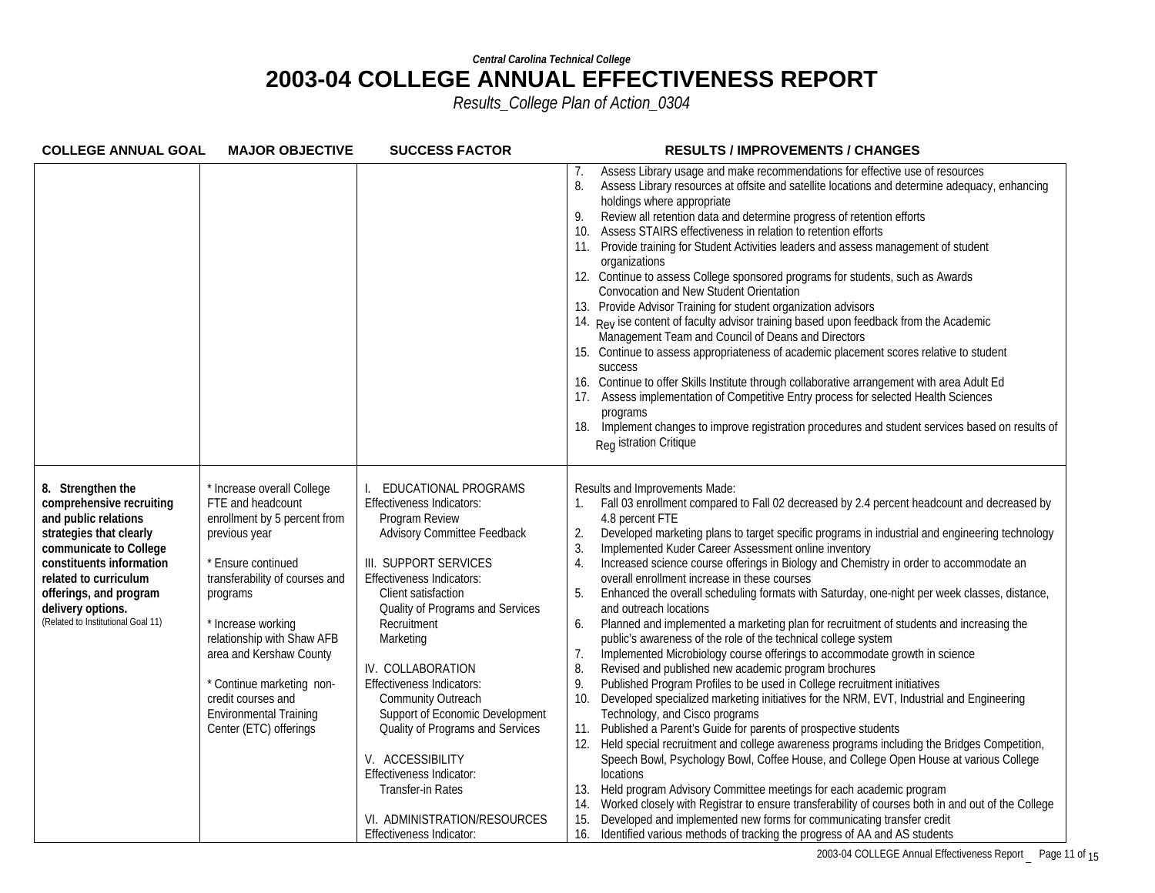| <b>COLLEGE ANNUAL GOAL</b>                                                                                                                                                                                                                                           | <b>MAJOR OBJECTIVE</b>                                                                                                                                                                                                                                                                                                                                            | <b>SUCCESS FACTOR</b>                                                                                                                                                                                                                                                                                                                                                                                                                                                                                                                                | <b>RESULTS / IMPROVEMENTS / CHANGES</b>                                                                                                                                                                                                                                                                                                                                                                                                                                                                                                                                                                                                                                                                                                                                                                                                                                                                                                                                                                                                                                                                                                                                                                                                                                                                                                                                                                                                                                                                                                                                                                                                                                                                                                                                                     |
|----------------------------------------------------------------------------------------------------------------------------------------------------------------------------------------------------------------------------------------------------------------------|-------------------------------------------------------------------------------------------------------------------------------------------------------------------------------------------------------------------------------------------------------------------------------------------------------------------------------------------------------------------|------------------------------------------------------------------------------------------------------------------------------------------------------------------------------------------------------------------------------------------------------------------------------------------------------------------------------------------------------------------------------------------------------------------------------------------------------------------------------------------------------------------------------------------------------|---------------------------------------------------------------------------------------------------------------------------------------------------------------------------------------------------------------------------------------------------------------------------------------------------------------------------------------------------------------------------------------------------------------------------------------------------------------------------------------------------------------------------------------------------------------------------------------------------------------------------------------------------------------------------------------------------------------------------------------------------------------------------------------------------------------------------------------------------------------------------------------------------------------------------------------------------------------------------------------------------------------------------------------------------------------------------------------------------------------------------------------------------------------------------------------------------------------------------------------------------------------------------------------------------------------------------------------------------------------------------------------------------------------------------------------------------------------------------------------------------------------------------------------------------------------------------------------------------------------------------------------------------------------------------------------------------------------------------------------------------------------------------------------------|
|                                                                                                                                                                                                                                                                      |                                                                                                                                                                                                                                                                                                                                                                   |                                                                                                                                                                                                                                                                                                                                                                                                                                                                                                                                                      | Assess Library usage and make recommendations for effective use of resources<br>$\mathcal{L}$ .<br>8.<br>Assess Library resources at offsite and satellite locations and determine adequacy, enhancing<br>holdings where appropriate<br>9.<br>Review all retention data and determine progress of retention efforts<br>Assess STAIRS effectiveness in relation to retention efforts<br>10.<br>Provide training for Student Activities leaders and assess management of student<br>organizations<br>12. Continue to assess College sponsored programs for students, such as Awards<br>Convocation and New Student Orientation<br>13. Provide Advisor Training for student organization advisors<br>14. Rev ise content of faculty advisor training based upon feedback from the Academic<br>Management Team and Council of Deans and Directors<br>15. Continue to assess appropriateness of academic placement scores relative to student<br><b>SUCCESS</b><br>16. Continue to offer Skills Institute through collaborative arrangement with area Adult Ed<br>Assess implementation of Competitive Entry process for selected Health Sciences<br>programs<br>18.<br>Implement changes to improve registration procedures and student services based on results of<br>Reg istration Critique                                                                                                                                                                                                                                                                                                                                                                                                                                                                                                  |
| 8. Strengthen the<br>comprehensive recruiting<br>and public relations<br>strategies that clearly<br>communicate to College<br>constituents information<br>related to curriculum<br>offerings, and program<br>delivery options.<br>(Related to Institutional Goal 11) | * Increase overall College<br>FTE and headcount<br>enrollment by 5 percent from<br>previous year<br>* Ensure continued<br>transferability of courses and<br>programs<br>* Increase working<br>relationship with Shaw AFB<br>area and Kershaw County<br>* Continue marketing non-<br>credit courses and<br><b>Environmental Training</b><br>Center (ETC) offerings | EDUCATIONAL PROGRAMS<br>Effectiveness Indicators:<br>Program Review<br><b>Advisory Committee Feedback</b><br>III. SUPPORT SERVICES<br><b>Effectiveness Indicators:</b><br>Client satisfaction<br>Quality of Programs and Services<br>Recruitment<br>Marketing<br>IV. COLLABORATION<br><b>Effectiveness Indicators:</b><br>Community Outreach<br>Support of Economic Development<br>Quality of Programs and Services<br>V. ACCESSIBILITY<br>Effectiveness Indicator:<br>Transfer-in Rates<br>VI. ADMINISTRATION/RESOURCES<br>Effectiveness Indicator: | Results and Improvements Made:<br>Fall 03 enrollment compared to Fall 02 decreased by 2.4 percent headcount and decreased by<br>4.8 percent FTE<br>Developed marketing plans to target specific programs in industrial and engineering technology<br>2.<br>3.<br>Implemented Kuder Career Assessment online inventory<br>4.<br>Increased science course offerings in Biology and Chemistry in order to accommodate an<br>overall enrollment increase in these courses<br>5.<br>Enhanced the overall scheduling formats with Saturday, one-night per week classes, distance,<br>and outreach locations<br>6.<br>Planned and implemented a marketing plan for recruitment of students and increasing the<br>public's awareness of the role of the technical college system<br>7.<br>Implemented Microbiology course offerings to accommodate growth in science<br>Revised and published new academic program brochures<br>8.<br>9.<br>Published Program Profiles to be used in College recruitment initiatives<br>10.<br>Developed specialized marketing initiatives for the NRM, EVT, Industrial and Engineering<br>Technology, and Cisco programs<br>Published a Parent's Guide for parents of prospective students<br>11.<br>Held special recruitment and college awareness programs including the Bridges Competition,<br>Speech Bowl, Psychology Bowl, Coffee House, and College Open House at various College<br>locations<br>Held program Advisory Committee meetings for each academic program<br>13.<br>Worked closely with Registrar to ensure transferability of courses both in and out of the College<br>14.<br>Developed and implemented new forms for communicating transfer credit<br>15.<br>16.<br>Identified various methods of tracking the progress of AA and AS students |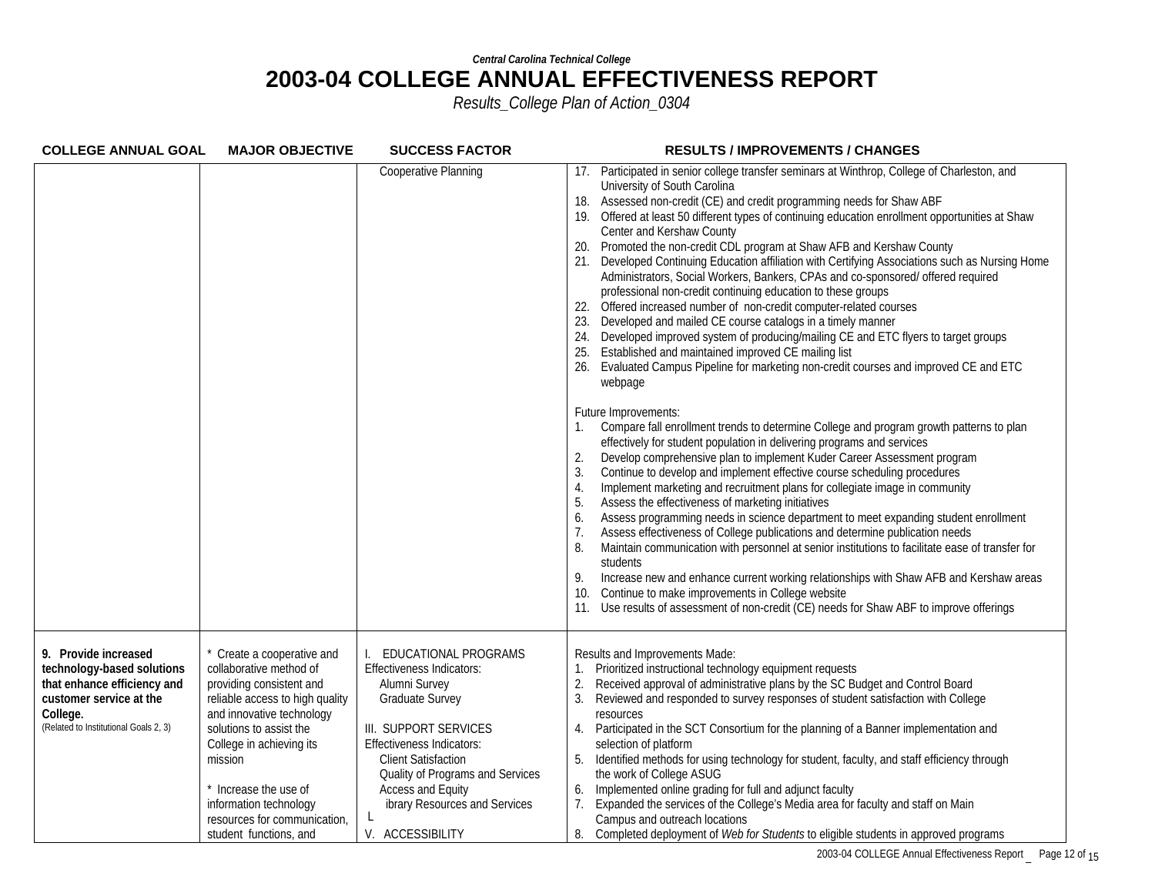| <b>COLLEGE ANNUAL GOAL</b>                                                                                                                                        | <b>MAJOR OBJECTIVE</b>                                                                                                                                                                                                                                                                                                         | <b>SUCCESS FACTOR</b>                                                                                                                                                                                                                                                                                 | <b>RESULTS / IMPROVEMENTS / CHANGES</b>                                                                                                                                                                                                                                                                                                                                                                                                                                                                                                                                                                                                                                                                                                                                                                                                                                                                                                                                                                                                                                     |
|-------------------------------------------------------------------------------------------------------------------------------------------------------------------|--------------------------------------------------------------------------------------------------------------------------------------------------------------------------------------------------------------------------------------------------------------------------------------------------------------------------------|-------------------------------------------------------------------------------------------------------------------------------------------------------------------------------------------------------------------------------------------------------------------------------------------------------|-----------------------------------------------------------------------------------------------------------------------------------------------------------------------------------------------------------------------------------------------------------------------------------------------------------------------------------------------------------------------------------------------------------------------------------------------------------------------------------------------------------------------------------------------------------------------------------------------------------------------------------------------------------------------------------------------------------------------------------------------------------------------------------------------------------------------------------------------------------------------------------------------------------------------------------------------------------------------------------------------------------------------------------------------------------------------------|
|                                                                                                                                                                   |                                                                                                                                                                                                                                                                                                                                | Cooperative Planning                                                                                                                                                                                                                                                                                  | 17. Participated in senior college transfer seminars at Winthrop, College of Charleston, and<br>University of South Carolina<br>18. Assessed non-credit (CE) and credit programming needs for Shaw ABF<br>19. Offered at least 50 different types of continuing education enrollment opportunities at Shaw<br>Center and Kershaw County<br>Promoted the non-credit CDL program at Shaw AFB and Kershaw County<br>20.<br>21. Developed Continuing Education affiliation with Certifying Associations such as Nursing Home<br>Administrators, Social Workers, Bankers, CPAs and co-sponsored/ offered required<br>professional non-credit continuing education to these groups<br>22. Offered increased number of non-credit computer-related courses<br>23. Developed and mailed CE course catalogs in a timely manner<br>24. Developed improved system of producing/mailing CE and ETC flyers to target groups<br>Established and maintained improved CE mailing list<br>26. Evaluated Campus Pipeline for marketing non-credit courses and improved CE and ETC<br>webpage  |
|                                                                                                                                                                   |                                                                                                                                                                                                                                                                                                                                |                                                                                                                                                                                                                                                                                                       | Future Improvements:<br>Compare fall enrollment trends to determine College and program growth patterns to plan<br>effectively for student population in delivering programs and services<br>Develop comprehensive plan to implement Kuder Career Assessment program<br>2.<br>Continue to develop and implement effective course scheduling procedures<br>3.<br>Implement marketing and recruitment plans for collegiate image in community<br>4.<br>5.<br>Assess the effectiveness of marketing initiatives<br>Assess programming needs in science department to meet expanding student enrollment<br>6.<br>7.<br>Assess effectiveness of College publications and determine publication needs<br>8.<br>Maintain communication with personnel at senior institutions to facilitate ease of transfer for<br>students<br>Increase new and enhance current working relationships with Shaw AFB and Kershaw areas<br>9.<br>Continue to make improvements in College website<br>10.<br>11. Use results of assessment of non-credit (CE) needs for Shaw ABF to improve offerings |
| 9. Provide increased<br>technology-based solutions<br>that enhance efficiency and<br>customer service at the<br>College.<br>(Related to Institutional Goals 2, 3) | * Create a cooperative and<br>collaborative method of<br>providing consistent and<br>reliable access to high quality<br>and innovative technology<br>solutions to assist the<br>College in achieving its<br>mission<br>Increase the use of<br>information technology<br>resources for communication,<br>student functions, and | EDUCATIONAL PROGRAMS<br>Effectiveness Indicators:<br>Alumni Survey<br><b>Graduate Survey</b><br>III. SUPPORT SERVICES<br><b>Effectiveness Indicators:</b><br><b>Client Satisfaction</b><br>Quality of Programs and Services<br>Access and Equity<br>ibrary Resources and Services<br>V. ACCESSIBILITY | Results and Improvements Made:<br>Prioritized instructional technology equipment requests<br>Received approval of administrative plans by the SC Budget and Control Board<br>2.<br>3.<br>Reviewed and responded to survey responses of student satisfaction with College<br>resources<br>Participated in the SCT Consortium for the planning of a Banner implementation and<br>selection of platform<br>Identified methods for using technology for student, faculty, and staff efficiency through<br>the work of College ASUG<br>Implemented online grading for full and adjunct faculty<br>6.<br>Expanded the services of the College's Media area for faculty and staff on Main<br>7 <sub>1</sub><br>Campus and outreach locations<br>8.<br>Completed deployment of Web for Students to eligible students in approved programs                                                                                                                                                                                                                                           |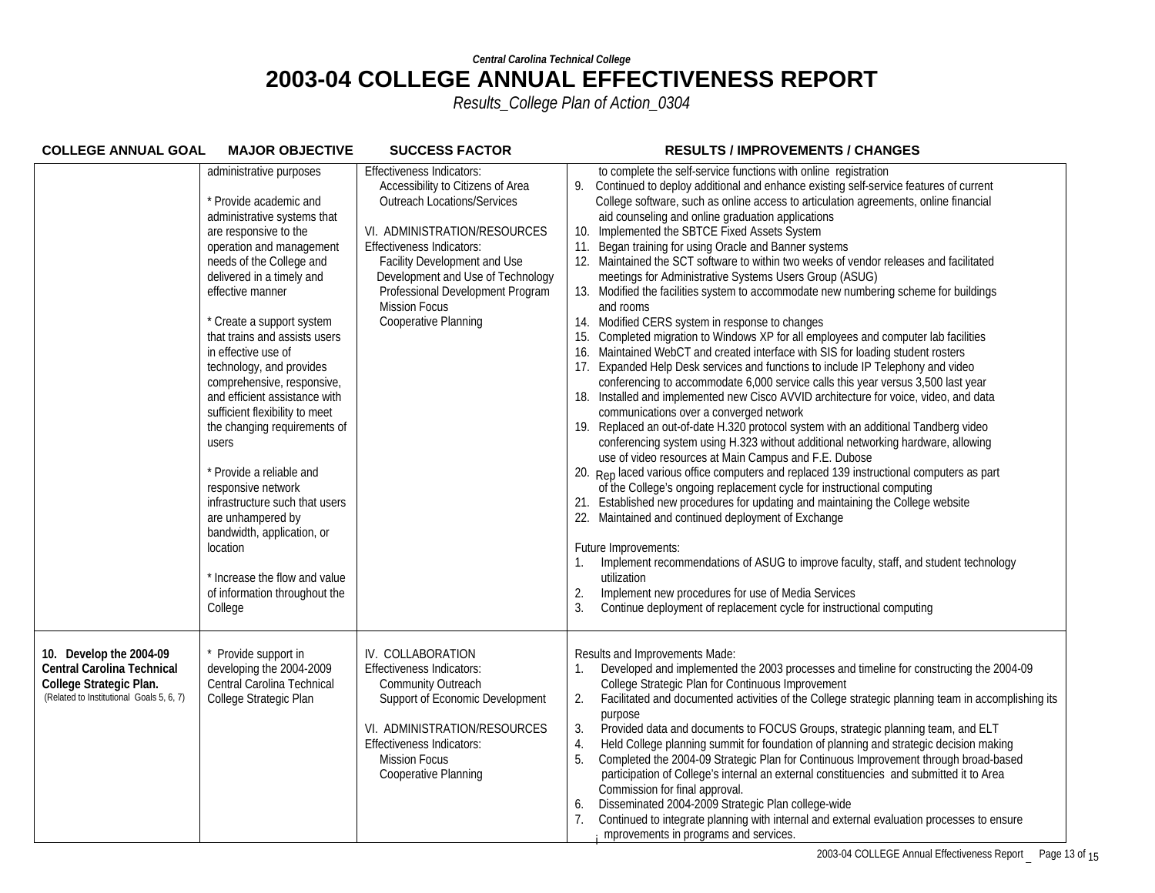| <b>COLLEGE ANNUAL GOAL</b>                                                                                                   | <b>MAJOR OBJECTIVE</b>                                                                                                                                                                                                                                                                                                                                                                                                                                                                                                                                                                                                                                                                                        | <b>SUCCESS FACTOR</b>                                                                                                                                                                                                                                                                                                                    | <b>RESULTS / IMPROVEMENTS / CHANGES</b>                                                                                                                                                                                                                                                                                                                                                                                                                                                                                                                                                                                                                                                                                                                                                                                                                                                                                                                                                                                                                                                                                                                                                                                                                                                                                                                                                                                                                                                                                                                                                                                                                                                                                                                                                                                                                                                                                                                                                                                                                 |
|------------------------------------------------------------------------------------------------------------------------------|---------------------------------------------------------------------------------------------------------------------------------------------------------------------------------------------------------------------------------------------------------------------------------------------------------------------------------------------------------------------------------------------------------------------------------------------------------------------------------------------------------------------------------------------------------------------------------------------------------------------------------------------------------------------------------------------------------------|------------------------------------------------------------------------------------------------------------------------------------------------------------------------------------------------------------------------------------------------------------------------------------------------------------------------------------------|---------------------------------------------------------------------------------------------------------------------------------------------------------------------------------------------------------------------------------------------------------------------------------------------------------------------------------------------------------------------------------------------------------------------------------------------------------------------------------------------------------------------------------------------------------------------------------------------------------------------------------------------------------------------------------------------------------------------------------------------------------------------------------------------------------------------------------------------------------------------------------------------------------------------------------------------------------------------------------------------------------------------------------------------------------------------------------------------------------------------------------------------------------------------------------------------------------------------------------------------------------------------------------------------------------------------------------------------------------------------------------------------------------------------------------------------------------------------------------------------------------------------------------------------------------------------------------------------------------------------------------------------------------------------------------------------------------------------------------------------------------------------------------------------------------------------------------------------------------------------------------------------------------------------------------------------------------------------------------------------------------------------------------------------------------|
|                                                                                                                              | administrative purposes<br>* Provide academic and<br>administrative systems that<br>are responsive to the<br>operation and management<br>needs of the College and<br>delivered in a timely and<br>effective manner<br>* Create a support system<br>that trains and assists users<br>in effective use of<br>technology, and provides<br>comprehensive, responsive,<br>and efficient assistance with<br>sufficient flexibility to meet<br>the changing requirements of<br>users<br>* Provide a reliable and<br>responsive network<br>infrastructure such that users<br>are unhampered by<br>bandwidth, application, or<br>location<br>* Increase the flow and value<br>of information throughout the<br>College | <b>Effectiveness Indicators:</b><br>Accessibility to Citizens of Area<br><b>Outreach Locations/Services</b><br>VI. ADMINISTRATION/RESOURCES<br><b>Effectiveness Indicators:</b><br>Facility Development and Use<br>Development and Use of Technology<br>Professional Development Program<br><b>Mission Focus</b><br>Cooperative Planning | to complete the self-service functions with online registration<br>Continued to deploy additional and enhance existing self-service features of current<br>9.<br>College software, such as online access to articulation agreements, online financial<br>aid counseling and online graduation applications<br>10. Implemented the SBTCE Fixed Assets System<br>Began training for using Oracle and Banner systems<br>11.<br>12. Maintained the SCT software to within two weeks of vendor releases and facilitated<br>meetings for Administrative Systems Users Group (ASUG)<br>13. Modified the facilities system to accommodate new numbering scheme for buildings<br>and rooms<br>14. Modified CERS system in response to changes<br>Completed migration to Windows XP for all employees and computer lab facilities<br>15.<br>16. Maintained WebCT and created interface with SIS for loading student rosters<br>17. Expanded Help Desk services and functions to include IP Telephony and video<br>conferencing to accommodate 6,000 service calls this year versus 3,500 last year<br>18. Installed and implemented new Cisco AVVID architecture for voice, video, and data<br>communications over a converged network<br>19. Replaced an out-of-date H.320 protocol system with an additional Tandberg video<br>conferencing system using H.323 without additional networking hardware, allowing<br>use of video resources at Main Campus and F.E. Dubose<br>20. Rep laced various office computers and replaced 139 instructional computers as part<br>of the College's ongoing replacement cycle for instructional computing<br>21. Established new procedures for updating and maintaining the College website<br>22. Maintained and continued deployment of Exchange<br>Future Improvements:<br>Implement recommendations of ASUG to improve faculty, staff, and student technology<br>utilization<br>2.<br>Implement new procedures for use of Media Services<br>3.<br>Continue deployment of replacement cycle for instructional computing |
| 10. Develop the 2004-09<br>Central Carolina Technical<br>College Strategic Plan.<br>(Related to Institutional Goals 5, 6, 7) | Provide support in<br>developing the 2004-2009<br>Central Carolina Technical<br>College Strategic Plan                                                                                                                                                                                                                                                                                                                                                                                                                                                                                                                                                                                                        | IV. COLLABORATION<br>Effectiveness Indicators:<br>Community Outreach<br>Support of Economic Development<br>VI. ADMINISTRATION/RESOURCES<br><b>Effectiveness Indicators:</b><br><b>Mission Focus</b><br>Cooperative Planning                                                                                                              | Results and Improvements Made:<br>Developed and implemented the 2003 processes and timeline for constructing the 2004-09<br>College Strategic Plan for Continuous Improvement<br>Facilitated and documented activities of the College strategic planning team in accomplishing its<br>2.<br>purpose<br>Provided data and documents to FOCUS Groups, strategic planning team, and ELT<br>3.<br>Held College planning summit for foundation of planning and strategic decision making<br>4.<br>Completed the 2004-09 Strategic Plan for Continuous Improvement through broad-based<br>5.<br>participation of College's internal an external constituencies and submitted it to Area<br>Commission for final approval.<br>Disseminated 2004-2009 Strategic Plan college-wide<br>6.<br>7.<br>Continued to integrate planning with internal and external evaluation processes to ensure<br>mprovements in programs and services.                                                                                                                                                                                                                                                                                                                                                                                                                                                                                                                                                                                                                                                                                                                                                                                                                                                                                                                                                                                                                                                                                                                             |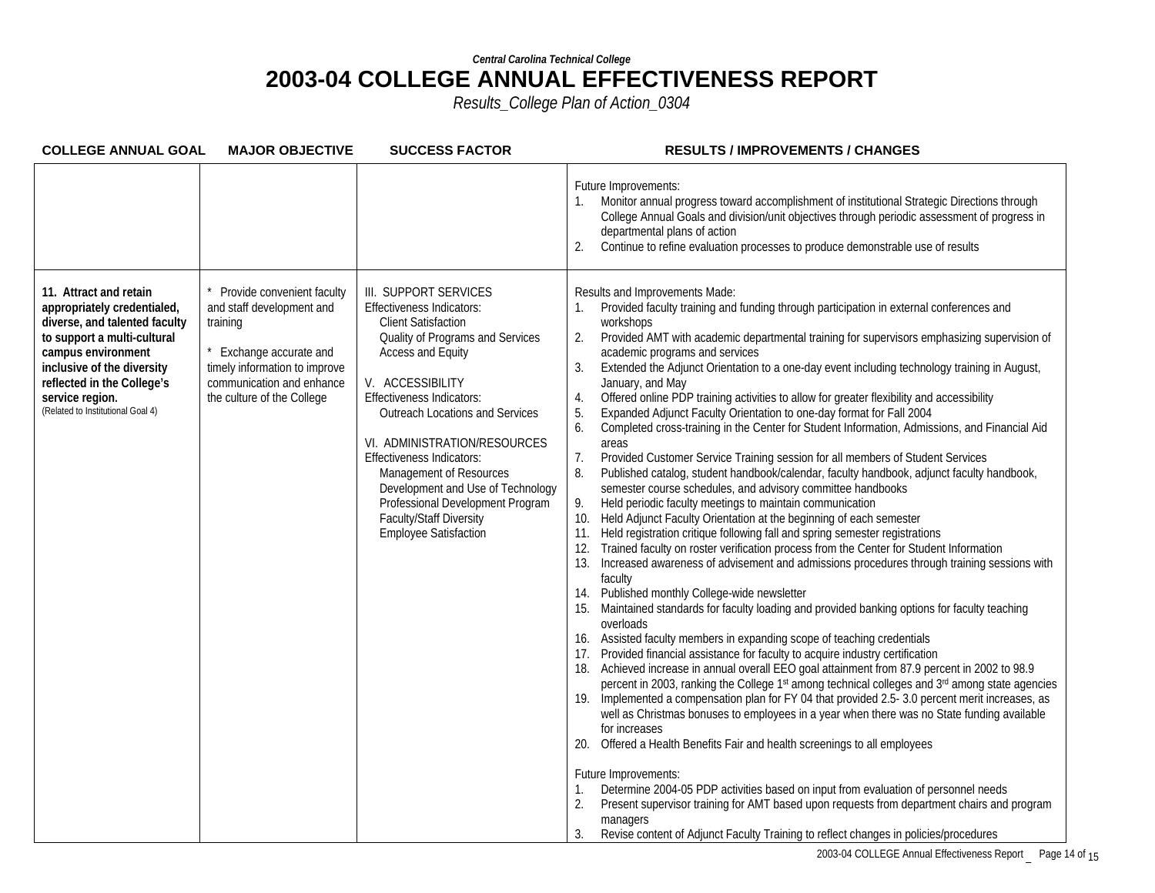| <b>COLLEGE ANNUAL GOAL</b>                                                                                                                                                                                                                                      | <b>MAJOR OBJECTIVE</b>                                                                                                                                                                   | <b>SUCCESS FACTOR</b>                                                                                                                                                                                                                                                                                                                                                                                                                                                                        | <b>RESULTS / IMPROVEMENTS / CHANGES</b>                                                                                                                                                                                                                                                                                                                                                                                                                                                                                                                                                                                                                                                                                                                                                                                                                                                                                                                                                                                                                                                                                                                                                                                                                                                                                                                                                                                                                                                                                                                                                                                                                                                                                                                                                                                                                                                                                                                                                                                                                                                                                                                                                                                                                                                                                                                                                                                                                                                                                                                                                                                    |
|-----------------------------------------------------------------------------------------------------------------------------------------------------------------------------------------------------------------------------------------------------------------|------------------------------------------------------------------------------------------------------------------------------------------------------------------------------------------|----------------------------------------------------------------------------------------------------------------------------------------------------------------------------------------------------------------------------------------------------------------------------------------------------------------------------------------------------------------------------------------------------------------------------------------------------------------------------------------------|----------------------------------------------------------------------------------------------------------------------------------------------------------------------------------------------------------------------------------------------------------------------------------------------------------------------------------------------------------------------------------------------------------------------------------------------------------------------------------------------------------------------------------------------------------------------------------------------------------------------------------------------------------------------------------------------------------------------------------------------------------------------------------------------------------------------------------------------------------------------------------------------------------------------------------------------------------------------------------------------------------------------------------------------------------------------------------------------------------------------------------------------------------------------------------------------------------------------------------------------------------------------------------------------------------------------------------------------------------------------------------------------------------------------------------------------------------------------------------------------------------------------------------------------------------------------------------------------------------------------------------------------------------------------------------------------------------------------------------------------------------------------------------------------------------------------------------------------------------------------------------------------------------------------------------------------------------------------------------------------------------------------------------------------------------------------------------------------------------------------------------------------------------------------------------------------------------------------------------------------------------------------------------------------------------------------------------------------------------------------------------------------------------------------------------------------------------------------------------------------------------------------------------------------------------------------------------------------------------------------------|
|                                                                                                                                                                                                                                                                 |                                                                                                                                                                                          |                                                                                                                                                                                                                                                                                                                                                                                                                                                                                              | Future Improvements:<br>Monitor annual progress toward accomplishment of institutional Strategic Directions through<br>College Annual Goals and division/unit objectives through periodic assessment of progress in<br>departmental plans of action<br>2.<br>Continue to refine evaluation processes to produce demonstrable use of results                                                                                                                                                                                                                                                                                                                                                                                                                                                                                                                                                                                                                                                                                                                                                                                                                                                                                                                                                                                                                                                                                                                                                                                                                                                                                                                                                                                                                                                                                                                                                                                                                                                                                                                                                                                                                                                                                                                                                                                                                                                                                                                                                                                                                                                                                |
| 11. Attract and retain<br>appropriately credentialed,<br>diverse, and talented faculty<br>to support a multi-cultural<br>campus environment<br>inclusive of the diversity<br>reflected in the College's<br>service region.<br>(Related to Institutional Goal 4) | Provide convenient faculty<br>and staff development and<br>training<br>Exchange accurate and<br>timely information to improve<br>communication and enhance<br>the culture of the College | III. SUPPORT SERVICES<br><b>Effectiveness Indicators:</b><br><b>Client Satisfaction</b><br>Quality of Programs and Services<br><b>Access and Equity</b><br>V. ACCESSIBILITY<br><b>Effectiveness Indicators:</b><br><b>Outreach Locations and Services</b><br>VI. ADMINISTRATION/RESOURCES<br><b>Effectiveness Indicators:</b><br>Management of Resources<br>Development and Use of Technology<br>Professional Development Program<br>Faculty/Staff Diversity<br><b>Employee Satisfaction</b> | Results and Improvements Made:<br>Provided faculty training and funding through participation in external conferences and<br>workshops<br>2.<br>Provided AMT with academic departmental training for supervisors emphasizing supervision of<br>academic programs and services<br>3.<br>Extended the Adjunct Orientation to a one-day event including technology training in August,<br>January, and May<br>Offered online PDP training activities to allow for greater flexibility and accessibility<br>4.<br>Expanded Adjunct Faculty Orientation to one-day format for Fall 2004<br>5.<br>Completed cross-training in the Center for Student Information, Admissions, and Financial Aid<br>6.<br>areas<br>7.<br>Provided Customer Service Training session for all members of Student Services<br>8.<br>Published catalog, student handbook/calendar, faculty handbook, adjunct faculty handbook,<br>semester course schedules, and advisory committee handbooks<br>9.<br>Held periodic faculty meetings to maintain communication<br>Held Adjunct Faculty Orientation at the beginning of each semester<br>10.<br>Held registration critique following fall and spring semester registrations<br>11.<br>Trained faculty on roster verification process from the Center for Student Information<br>12.<br>Increased awareness of advisement and admissions procedures through training sessions with<br>13.<br>faculty<br>Published monthly College-wide newsletter<br>Maintained standards for faculty loading and provided banking options for faculty teaching<br>15.<br>overloads<br>16. Assisted faculty members in expanding scope of teaching credentials<br>Provided financial assistance for faculty to acquire industry certification<br>17.<br>Achieved increase in annual overall EEO goal attainment from 87.9 percent in 2002 to 98.9<br>18.<br>percent in 2003, ranking the College 1 <sup>st</sup> among technical colleges and 3 <sup>rd</sup> among state agencies<br>19. Implemented a compensation plan for FY 04 that provided 2.5-3.0 percent merit increases, as<br>well as Christmas bonuses to employees in a year when there was no State funding available<br>for increases<br>Offered a Health Benefits Fair and health screenings to all employees<br>20.<br>Future Improvements:<br>Determine 2004-05 PDP activities based on input from evaluation of personnel needs<br>1.<br>Present supervisor training for AMT based upon requests from department chairs and program<br>2.<br>managers<br>Revise content of Adjunct Faculty Training to reflect changes in policies/procedures<br>3. |